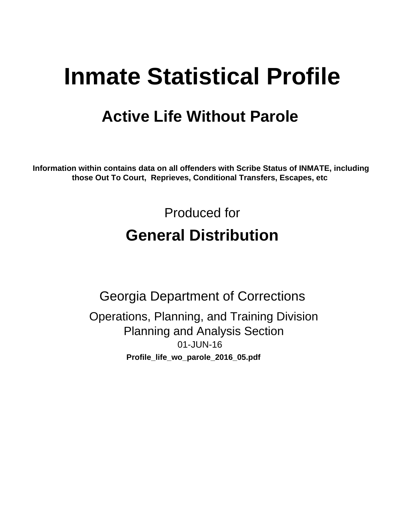# **Inmate Statistical Profile**

## **Active Life Without Parole**

Information within contains data on all offenders with Scribe Status of INMATE, including those Out To Court, Reprieves, Conditional Transfers, Escapes, etc

> Produced for **General Distribution**

**Georgia Department of Corrections** Operations, Planning, and Training Division **Planning and Analysis Section** 01-JUN-16 Profile\_life\_wo\_parole\_2016\_05.pdf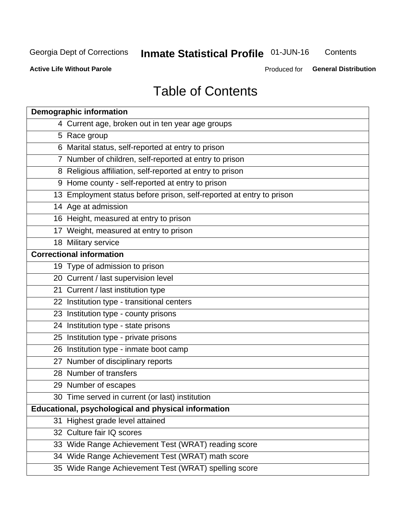## **Inmate Statistical Profile 01-JUN-16**

Contents

**Active Life Without Parole** 

Produced for General Distribution

## **Table of Contents**

| <b>Demographic information</b>                                       |
|----------------------------------------------------------------------|
| 4 Current age, broken out in ten year age groups                     |
| 5 Race group                                                         |
| 6 Marital status, self-reported at entry to prison                   |
| 7 Number of children, self-reported at entry to prison               |
| 8 Religious affiliation, self-reported at entry to prison            |
| 9 Home county - self-reported at entry to prison                     |
| 13 Employment status before prison, self-reported at entry to prison |
| 14 Age at admission                                                  |
| 16 Height, measured at entry to prison                               |
| 17 Weight, measured at entry to prison                               |
| 18 Military service                                                  |
| <b>Correctional information</b>                                      |
| 19 Type of admission to prison                                       |
| 20 Current / last supervision level                                  |
| 21 Current / last institution type                                   |
| 22 Institution type - transitional centers                           |
| 23 Institution type - county prisons                                 |
| 24 Institution type - state prisons                                  |
| 25 Institution type - private prisons                                |
| 26 Institution type - inmate boot camp                               |
| 27 Number of disciplinary reports                                    |
| 28 Number of transfers                                               |
| 29 Number of escapes                                                 |
| 30 Time served in current (or last) institution                      |
| <b>Educational, psychological and physical information</b>           |
| 31 Highest grade level attained                                      |
| 32 Culture fair IQ scores                                            |
| 33 Wide Range Achievement Test (WRAT) reading score                  |
| 34 Wide Range Achievement Test (WRAT) math score                     |
| 35 Wide Range Achievement Test (WRAT) spelling score                 |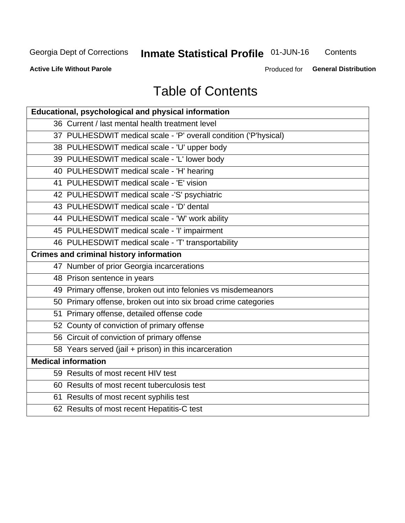## **Inmate Statistical Profile 01-JUN-16**

Contents

**Active Life Without Parole** 

Produced for General Distribution

## **Table of Contents**

| Educational, psychological and physical information              |
|------------------------------------------------------------------|
| 36 Current / last mental health treatment level                  |
| 37 PULHESDWIT medical scale - 'P' overall condition ('P'hysical) |
| 38 PULHESDWIT medical scale - 'U' upper body                     |
| 39 PULHESDWIT medical scale - 'L' lower body                     |
| 40 PULHESDWIT medical scale - 'H' hearing                        |
| 41 PULHESDWIT medical scale - 'E' vision                         |
| 42 PULHESDWIT medical scale -'S' psychiatric                     |
| 43 PULHESDWIT medical scale - 'D' dental                         |
| 44 PULHESDWIT medical scale - 'W' work ability                   |
| 45 PULHESDWIT medical scale - 'I' impairment                     |
| 46 PULHESDWIT medical scale - 'T' transportability               |
| <b>Crimes and criminal history information</b>                   |
| 47 Number of prior Georgia incarcerations                        |
| 48 Prison sentence in years                                      |
| 49 Primary offense, broken out into felonies vs misdemeanors     |
| 50 Primary offense, broken out into six broad crime categories   |
| 51 Primary offense, detailed offense code                        |
| 52 County of conviction of primary offense                       |
| 56 Circuit of conviction of primary offense                      |
| 58 Years served (jail + prison) in this incarceration            |
| <b>Medical information</b>                                       |
| 59 Results of most recent HIV test                               |
| 60 Results of most recent tuberculosis test                      |
| 61 Results of most recent syphilis test                          |
| 62 Results of most recent Hepatitis-C test                       |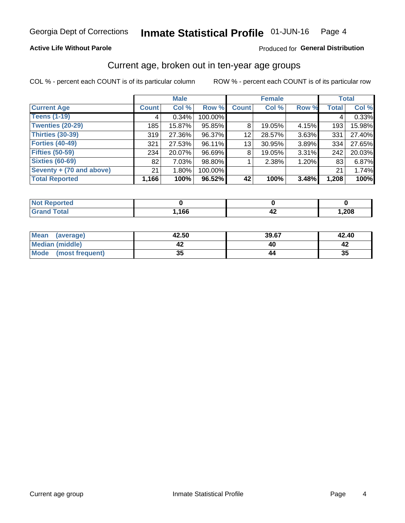### **Active Life Without Parole**

### Produced for General Distribution

## Current age, broken out in ten-year age groups

COL % - percent each COUNT is of its particular column

|                          | <b>Male</b>  |          |         | <b>Female</b> |        |       | <b>Total</b> |        |
|--------------------------|--------------|----------|---------|---------------|--------|-------|--------------|--------|
| <b>Current Age</b>       | <b>Count</b> | Col %    | Row %   | <b>Count</b>  | Col %  | Row % | <b>Total</b> | Col %  |
| <b>Teens (1-19)</b>      | 4            | $0.34\%$ | 100.00% |               |        |       | 4            | 0.33%  |
| <b>Twenties (20-29)</b>  | 185          | 15.87%   | 95.85%  | 8             | 19.05% | 4.15% | 193          | 15.98% |
| Thirties (30-39)         | 319          | 27.36%   | 96.37%  | 12            | 28.57% | 3.63% | 331          | 27.40% |
| <b>Forties (40-49)</b>   | 321          | 27.53%   | 96.11%  | 13            | 30.95% | 3.89% | 334          | 27.65% |
| <b>Fifties (50-59)</b>   | 234          | 20.07%   | 96.69%  | 8             | 19.05% | 3.31% | 242          | 20.03% |
| <b>Sixties (60-69)</b>   | 82           | 7.03%    | 98.80%  |               | 2.38%  | 1.20% | 83           | 6.87%  |
| Seventy + (70 and above) | 21           | $1.80\%$ | 100.00% |               |        |       | 21           | 1.74%  |
| <b>Total Reported</b>    | 1,166        | 100%     | 96.52%  | 42            | 100%   | 3.48% | 1,208        | 100%   |

| <b><i>Contractor</i></b><br>тег |      |     |      |
|---------------------------------|------|-----|------|
| $f \wedge f \wedge f$           | ,166 | – ∡ | ,208 |

| <b>Mean</b><br>(average) | 42.50    | 39.67 | 42.40 |
|--------------------------|----------|-------|-------|
| Median (middle)          |          |       |       |
| Mode<br>(most frequent)  | 25<br>vu |       | 35    |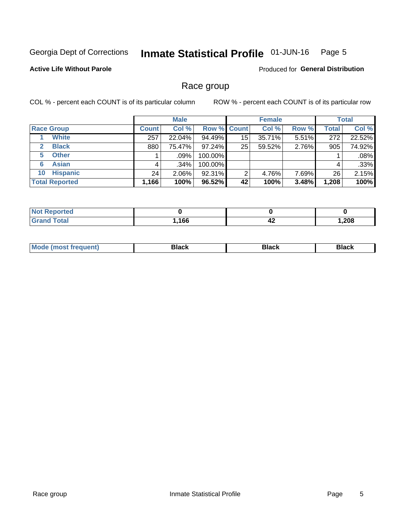#### Inmate Statistical Profile 01-JUN-16 Page 5

### **Active Life Without Parole**

Produced for General Distribution

## Race group

COL % - percent each COUNT is of its particular column

|                              |              | <b>Male</b> |         |                    | <b>Female</b> |       |       | <b>Total</b> |  |
|------------------------------|--------------|-------------|---------|--------------------|---------------|-------|-------|--------------|--|
| <b>Race Group</b>            | <b>Count</b> | Col %       |         | <b>Row % Count</b> | Col %         | Row % | Total | Col %        |  |
| <b>White</b>                 | 257          | 22.04%      | 94.49%  | 15                 | 35.71%        | 5.51% | 272   | 22.52%       |  |
| <b>Black</b><br>$\mathbf{2}$ | 880          | 75.47%      | 97.24%  | 25                 | 59.52%        | 2.76% | 905   | 74.92%       |  |
| <b>Other</b><br>5.           |              | .09%        | 100.00% |                    |               |       |       | .08%         |  |
| <b>Asian</b><br>6            | 4            | $.34\%$     | 100.00% |                    |               |       | 4     | .33%         |  |
| <b>Hispanic</b><br>10        | 24           | $2.06\%$    | 92.31%  | 2                  | 4.76%         | 7.69% | 26    | 2.15%        |  |
| <b>Total Reported</b>        | 1,166        | 100%        | 96.52%  | 42                 | 100%          | 3.48% | 1,208 | 100%         |  |

| ∩rteα        |     |           |      |
|--------------|-----|-----------|------|
| <b>Total</b> | 166 | . .<br>44 | ,208 |

| –•••• |  | M |  |  |  |
|-------|--|---|--|--|--|
|-------|--|---|--|--|--|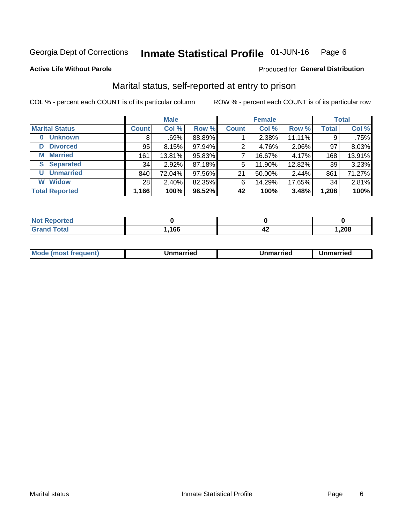#### Inmate Statistical Profile 01-JUN-16 Page 6

### **Active Life Without Parole**

### Produced for General Distribution

## Marital status, self-reported at entry to prison

COL % - percent each COUNT is of its particular column

|                            | <b>Male</b>  |          |        |              | <b>Female</b> | <b>Total</b> |              |        |
|----------------------------|--------------|----------|--------|--------------|---------------|--------------|--------------|--------|
| <b>Marital Status</b>      | <b>Count</b> | Col %    | Row %  | <b>Count</b> | Col %         | Row %        | <b>Total</b> | Col %  |
| <b>Unknown</b><br>$\bf{0}$ | 8            | $.69\%$  | 88.89% |              | 2.38%         | 11.11%       | 9            | .75%   |
| <b>Divorced</b><br>D       | 95           | 8.15%    | 97.94% | 2            | 4.76%         | 2.06%        | 97           | 8.03%  |
| <b>Married</b><br>М        | 161          | 13.81%   | 95.83% | 7            | 16.67%        | 4.17%        | 168          | 13.91% |
| <b>Separated</b><br>S.     | 34           | 2.92%    | 87.18% | 5            | 11.90%        | 12.82%       | 39           | 3.23%  |
| <b>Unmarried</b><br>U      | 840          | 72.04%   | 97.56% | 21           | 50.00%        | 2.44%        | 861          | 71.27% |
| <b>Widow</b><br>W          | 28           | $2.40\%$ | 82.35% | 6            | 14.29%        | 17.65%       | 34           | 2.81%  |
| <b>Total Reported</b>      | 1,166        | 100%     | 96.52% | 42           | 100%          | 3.48%        | 1,208        | 100%   |

| <b>Not Reported</b><br>. <b>.</b> |      |    |      |
|-----------------------------------|------|----|------|
| Total                             | .166 | т4 | ,208 |

|--|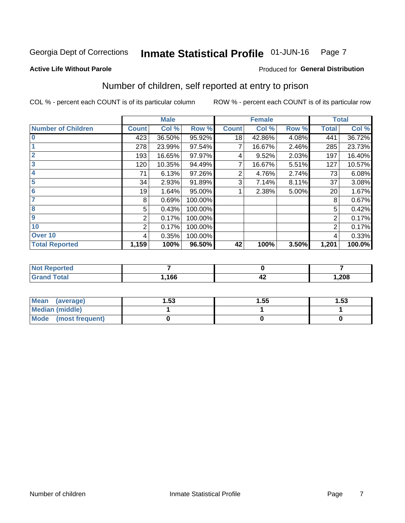#### Inmate Statistical Profile 01-JUN-16 Page 7

#### **Active Life Without Parole**

### Produced for General Distribution

## Number of children, self reported at entry to prison

COL % - percent each COUNT is of its particular column

|                           |              | <b>Male</b> |         |              | <b>Female</b> |       |                | <b>Total</b> |
|---------------------------|--------------|-------------|---------|--------------|---------------|-------|----------------|--------------|
| <b>Number of Children</b> | <b>Count</b> | Col %       | Row %   | <b>Count</b> | Col %         | Row % | <b>Total</b>   | Col %        |
| $\bf{0}$                  | 423          | 36.50%      | 95.92%  | 18           | 42.86%        | 4.08% | 441            | 36.72%       |
|                           | 278          | 23.99%      | 97.54%  |              | 16.67%        | 2.46% | 285            | 23.73%       |
| $\overline{2}$            | 193          | 16.65%      | 97.97%  | 4            | 9.52%         | 2.03% | 197            | 16.40%       |
| 3                         | 120          | 10.35%      | 94.49%  | 7            | 16.67%        | 5.51% | 127            | 10.57%       |
| 4                         | 71           | 6.13%       | 97.26%  | 2            | 4.76%         | 2.74% | 73             | 6.08%        |
| 5                         | 34           | 2.93%       | 91.89%  | 3            | 7.14%         | 8.11% | 37             | 3.08%        |
| $6\phantom{1}6$           | 19           | 1.64%       | 95.00%  |              | 2.38%         | 5.00% | 20             | 1.67%        |
| 7                         | 8            | 0.69%       | 100.00% |              |               |       | 8              | 0.67%        |
| $\overline{\mathbf{8}}$   | 5            | 0.43%       | 100.00% |              |               |       | 5              | 0.42%        |
| $\boldsymbol{9}$          | 2            | 0.17%       | 100.00% |              |               |       | 2              | 0.17%        |
| 10                        | 2            | 0.17%       | 100.00% |              |               |       | $\overline{2}$ | 0.17%        |
| Over 10                   | 4            | 0.35%       | 100.00% |              |               |       | 4              | 0.33%        |
| <b>Total Reported</b>     | 1,159        | 100%        | 96.50%  | 42           | 100%          | 3.50% | 1,201          | 100.0%       |

| neo     |      |     |       |
|---------|------|-----|-------|
| المقماد | ,166 | ,,, | 1,208 |

| <b>Mean</b><br>(average) | 1.53 | 1.55 | l.53 |
|--------------------------|------|------|------|
| Median (middle)          |      |      |      |
| Mode<br>(most frequent)  |      |      |      |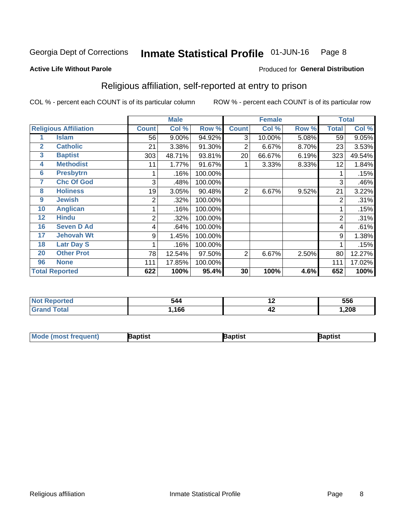#### Inmate Statistical Profile 01-JUN-16 Page 8

#### **Active Life Without Parole**

### Produced for General Distribution

## Religious affiliation, self-reported at entry to prison

COL % - percent each COUNT is of its particular column

|                |                              |              | <b>Male</b> |         |                | <b>Female</b> |       |                | <b>Total</b> |
|----------------|------------------------------|--------------|-------------|---------|----------------|---------------|-------|----------------|--------------|
|                | <b>Religious Affiliation</b> | <b>Count</b> | Col %       | Row %   | <b>Count</b>   | Col %         | Row % | <b>Total</b>   | Col %        |
|                | Islam                        | 56           | 9.00%       | 94.92%  | 3              | 10.00%        | 5.08% | 59             | 9.05%        |
| $\overline{2}$ | <b>Catholic</b>              | 21           | 3.38%       | 91.30%  | 2              | 6.67%         | 8.70% | 23             | 3.53%        |
| 3              | <b>Baptist</b>               | 303          | 48.71%      | 93.81%  | 20             | 66.67%        | 6.19% | 323            | 49.54%       |
| 4              | <b>Methodist</b>             | 11           | 1.77%       | 91.67%  |                | 3.33%         | 8.33% | 12             | 1.84%        |
| 6              | <b>Presbytrn</b>             |              | .16%        | 100.00% |                |               |       |                | .15%         |
| 7              | <b>Chc Of God</b>            | 3            | .48%        | 100.00% |                |               |       | 3              | .46%         |
| 8              | <b>Holiness</b>              | 19           | 3.05%       | 90.48%  | $\overline{2}$ | 6.67%         | 9.52% | 21             | 3.22%        |
| 9              | <b>Jewish</b>                | 2            | .32%        | 100.00% |                |               |       | $\overline{2}$ | .31%         |
| 10             | <b>Anglican</b>              |              | .16%        | 100.00% |                |               |       |                | .15%         |
| 12             | <b>Hindu</b>                 | 2            | .32%        | 100.00% |                |               |       | 2              | .31%         |
| 16             | <b>Seven D Ad</b>            | 4            | .64%        | 100.00% |                |               |       | 4              | .61%         |
| 17             | <b>Jehovah Wt</b>            | 9            | 1.45%       | 100.00% |                |               |       | 9              | 1.38%        |
| 18             | <b>Latr Day S</b>            |              | .16%        | 100.00% |                |               |       | 1              | .15%         |
| 20             | <b>Other Prot</b>            | 78           | 12.54%      | 97.50%  | $\overline{2}$ | 6.67%         | 2.50% | 80             | 12.27%       |
| 96             | <b>None</b>                  | 111          | 17.85%      | 100.00% |                |               |       | 111            | 17.02%       |
|                | <b>Total Reported</b>        | 622          | 100%        | 95.4%   | 30             | 100%          | 4.6%  | 652            | 100%         |

|       | - - -<br>$\mathcal{L}$<br>ᅮ | $\sim$ | ---<br>ววง |
|-------|-----------------------------|--------|------------|
| _____ | 4 C C                       | - 74   | 200<br>wo  |

| l Mo<br>trequent)<br>æmmers | aptist | <b>Raptist</b> | Baptist |
|-----------------------------|--------|----------------|---------|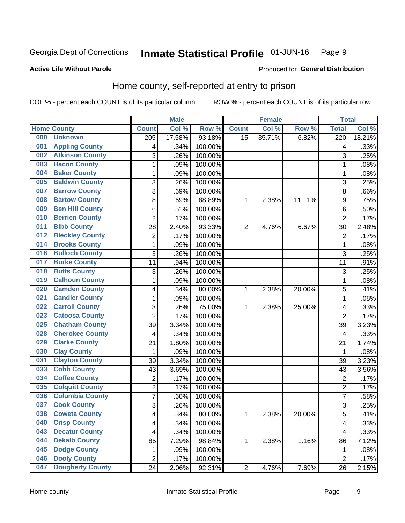#### **Inmate Statistical Profile 01-JUN-16** Page 9

### **Active Life Without Parole**

### Produced for General Distribution

## Home county, self-reported at entry to prison

COL % - percent each COUNT is of its particular column

|     |                         |                  | <b>Male</b> |                  |                 | <b>Female</b> |        | <b>Total</b>     |        |
|-----|-------------------------|------------------|-------------|------------------|-----------------|---------------|--------|------------------|--------|
|     | <b>Home County</b>      | <b>Count</b>     | Col %       | Row <sup>%</sup> | <b>Count</b>    | Col %         | Row %  | <b>Total</b>     | Col %  |
| 000 | <b>Unknown</b>          | $\overline{205}$ | 17.58%      | 93.18%           | $\overline{15}$ | 35.71%        | 6.82%  | $\overline{220}$ | 18.21% |
| 001 | <b>Appling County</b>   | 4                | .34%        | 100.00%          |                 |               |        | 4                | .33%   |
| 002 | <b>Atkinson County</b>  | 3                | .26%        | 100.00%          |                 |               |        | 3                | .25%   |
| 003 | <b>Bacon County</b>     | $\mathbf 1$      | .09%        | 100.00%          |                 |               |        | 1                | .08%   |
| 004 | <b>Baker County</b>     | $\mathbf 1$      | .09%        | 100.00%          |                 |               |        | 1                | .08%   |
| 005 | <b>Baldwin County</b>   | 3                | .26%        | 100.00%          |                 |               |        | 3                | .25%   |
| 007 | <b>Barrow County</b>    | 8                | .69%        | 100.00%          |                 |               |        | 8                | .66%   |
| 008 | <b>Bartow County</b>    | 8                | .69%        | 88.89%           | 1               | 2.38%         | 11.11% | 9                | .75%   |
| 009 | <b>Ben Hill County</b>  | 6                | .51%        | 100.00%          |                 |               |        | 6                | .50%   |
| 010 | <b>Berrien County</b>   | $\overline{2}$   | .17%        | 100.00%          |                 |               |        | $\overline{2}$   | .17%   |
| 011 | <b>Bibb County</b>      | 28               | 2.40%       | 93.33%           | $\overline{2}$  | 4.76%         | 6.67%  | 30               | 2.48%  |
| 012 | <b>Bleckley County</b>  | 2                | .17%        | 100.00%          |                 |               |        | $\overline{2}$   | .17%   |
| 014 | <b>Brooks County</b>    | $\mathbf{1}$     | .09%        | 100.00%          |                 |               |        | 1                | .08%   |
| 016 | <b>Bulloch County</b>   | 3                | .26%        | 100.00%          |                 |               |        | 3                | .25%   |
| 017 | <b>Burke County</b>     | 11               | .94%        | 100.00%          |                 |               |        | 11               | .91%   |
| 018 | <b>Butts County</b>     | 3                | .26%        | 100.00%          |                 |               |        | 3                | .25%   |
| 019 | <b>Calhoun County</b>   | $\mathbf 1$      | .09%        | 100.00%          |                 |               |        | 1                | .08%   |
| 020 | <b>Camden County</b>    | 4                | .34%        | 80.00%           | 1               | 2.38%         | 20.00% | 5                | .41%   |
| 021 | <b>Candler County</b>   | $\mathbf 1$      | .09%        | 100.00%          |                 |               |        | 1                | .08%   |
| 022 | <b>Carroll County</b>   | 3                | .26%        | 75.00%           | 1               | 2.38%         | 25.00% | 4                | .33%   |
| 023 | <b>Catoosa County</b>   | $\overline{2}$   | .17%        | 100.00%          |                 |               |        | $\overline{2}$   | .17%   |
| 025 | <b>Chatham County</b>   | 39               | 3.34%       | 100.00%          |                 |               |        | 39               | 3.23%  |
| 028 | <b>Cherokee County</b>  | 4                | .34%        | 100.00%          |                 |               |        | 4                | .33%   |
| 029 | <b>Clarke County</b>    | 21               | 1.80%       | 100.00%          |                 |               |        | 21               | 1.74%  |
| 030 | <b>Clay County</b>      | 1                | .09%        | 100.00%          |                 |               |        | 1                | .08%   |
| 031 | <b>Clayton County</b>   | 39               | 3.34%       | 100.00%          |                 |               |        | 39               | 3.23%  |
| 033 | <b>Cobb County</b>      | 43               | 3.69%       | 100.00%          |                 |               |        | 43               | 3.56%  |
| 034 | <b>Coffee County</b>    | $\overline{2}$   | .17%        | 100.00%          |                 |               |        | $\overline{2}$   | .17%   |
| 035 | <b>Colquitt County</b>  | $\overline{c}$   | .17%        | 100.00%          |                 |               |        | 2                | .17%   |
| 036 | <b>Columbia County</b>  | $\overline{7}$   | .60%        | 100.00%          |                 |               |        | $\overline{7}$   | .58%   |
| 037 | <b>Cook County</b>      | 3                | .26%        | 100.00%          |                 |               |        | 3                | .25%   |
| 038 | <b>Coweta County</b>    | 4                | .34%        | 80.00%           | 1               | 2.38%         | 20.00% | 5                | .41%   |
| 040 | <b>Crisp County</b>     | 4                | .34%        | 100.00%          |                 |               |        | 4                | .33%   |
| 043 | <b>Decatur County</b>   | 4                | .34%        | 100.00%          |                 |               |        | 4                | .33%   |
| 044 | <b>Dekalb County</b>    | 85               | 7.29%       | 98.84%           | 1               | 2.38%         | 1.16%  | 86               | 7.12%  |
| 045 | <b>Dodge County</b>     | 1                | .09%        | 100.00%          |                 |               |        | 1                | .08%   |
| 046 | <b>Dooly County</b>     | $\overline{2}$   | .17%        | 100.00%          |                 |               |        | $\overline{2}$   | .17%   |
| 047 | <b>Dougherty County</b> | 24               | 2.06%       | 92.31%           | $\overline{c}$  | 4.76%         | 7.69%  | 26               | 2.15%  |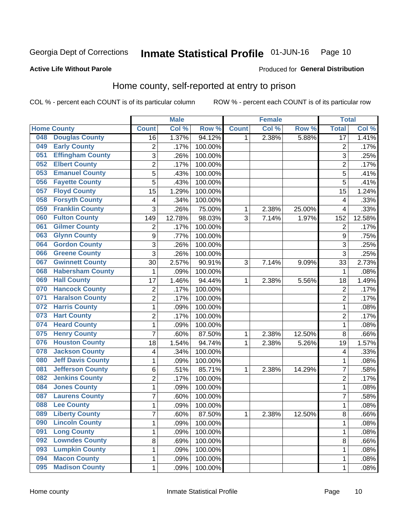#### Inmate Statistical Profile 01-JUN-16 Page 10

#### **Active Life Without Parole**

### Produced for General Distribution

## Home county, self-reported at entry to prison

COL % - percent each COUNT is of its particular column

|     |                          |                         | <b>Male</b> |         |              | <b>Female</b> |        | <b>Total</b>    |        |
|-----|--------------------------|-------------------------|-------------|---------|--------------|---------------|--------|-----------------|--------|
|     | <b>Home County</b>       | <b>Count</b>            | Col %       | Row %   | <b>Count</b> | Col %         | Row %  | <b>Total</b>    | Col %  |
| 048 | <b>Douglas County</b>    | 16                      | 1.37%       | 94.12%  | 1            | 2.38%         | 5.88%  | $\overline{17}$ | 1.41%  |
| 049 | <b>Early County</b>      | $\overline{\mathbf{c}}$ | .17%        | 100.00% |              |               |        | $\overline{c}$  | .17%   |
| 051 | <b>Effingham County</b>  | 3                       | .26%        | 100.00% |              |               |        | 3               | .25%   |
| 052 | <b>Elbert County</b>     | $\overline{c}$          | .17%        | 100.00% |              |               |        | $\overline{2}$  | .17%   |
| 053 | <b>Emanuel County</b>    | 5                       | .43%        | 100.00% |              |               |        | 5               | .41%   |
| 056 | <b>Fayette County</b>    | 5                       | .43%        | 100.00% |              |               |        | 5               | .41%   |
| 057 | <b>Floyd County</b>      | 15                      | 1.29%       | 100.00% |              |               |        | 15              | 1.24%  |
| 058 | <b>Forsyth County</b>    | 4                       | .34%        | 100.00% |              |               |        | 4               | .33%   |
| 059 | <b>Franklin County</b>   | 3                       | .26%        | 75.00%  | 1            | 2.38%         | 25.00% | 4               | .33%   |
| 060 | <b>Fulton County</b>     | 149                     | 12.78%      | 98.03%  | 3            | 7.14%         | 1.97%  | 152             | 12.58% |
| 061 | <b>Gilmer County</b>     | $\mathbf 2$             | .17%        | 100.00% |              |               |        | $\sqrt{2}$      | .17%   |
| 063 | <b>Glynn County</b>      | 9                       | .77%        | 100.00% |              |               |        | 9               | .75%   |
| 064 | <b>Gordon County</b>     | 3                       | .26%        | 100.00% |              |               |        | 3               | .25%   |
| 066 | <b>Greene County</b>     | 3                       | .26%        | 100.00% |              |               |        | 3               | .25%   |
| 067 | <b>Gwinnett County</b>   | 30                      | 2.57%       | 90.91%  | 3            | 7.14%         | 9.09%  | 33              | 2.73%  |
| 068 | <b>Habersham County</b>  | 1                       | .09%        | 100.00% |              |               |        | 1               | .08%   |
| 069 | <b>Hall County</b>       | 17                      | 1.46%       | 94.44%  | 1            | 2.38%         | 5.56%  | 18              | 1.49%  |
| 070 | <b>Hancock County</b>    | $\overline{\mathbf{c}}$ | .17%        | 100.00% |              |               |        | $\overline{2}$  | .17%   |
| 071 | <b>Haralson County</b>   | $\overline{c}$          | .17%        | 100.00% |              |               |        | $\overline{c}$  | .17%   |
| 072 | <b>Harris County</b>     | $\mathbf 1$             | .09%        | 100.00% |              |               |        | 1               | .08%   |
| 073 | <b>Hart County</b>       | $\overline{c}$          | .17%        | 100.00% |              |               |        | $\overline{c}$  | .17%   |
| 074 | <b>Heard County</b>      | $\mathbf 1$             | .09%        | 100.00% |              |               |        | 1               | .08%   |
| 075 | <b>Henry County</b>      | $\overline{7}$          | .60%        | 87.50%  | 1            | 2.38%         | 12.50% | 8               | .66%   |
| 076 | <b>Houston County</b>    | 18                      | 1.54%       | 94.74%  | 1            | 2.38%         | 5.26%  | 19              | 1.57%  |
| 078 | <b>Jackson County</b>    | 4                       | .34%        | 100.00% |              |               |        | 4               | .33%   |
| 080 | <b>Jeff Davis County</b> | $\mathbf 1$             | .09%        | 100.00% |              |               |        | 1               | .08%   |
| 081 | <b>Jefferson County</b>  | 6                       | .51%        | 85.71%  | 1            | 2.38%         | 14.29% | 7               | .58%   |
| 082 | <b>Jenkins County</b>    | $\overline{2}$          | .17%        | 100.00% |              |               |        | $\overline{2}$  | .17%   |
| 084 | <b>Jones County</b>      | $\mathbf 1$             | .09%        | 100.00% |              |               |        | 1               | .08%   |
| 087 | <b>Laurens County</b>    | 7                       | .60%        | 100.00% |              |               |        | 7               | .58%   |
| 088 | <b>Lee County</b>        | $\mathbf 1$             | .09%        | 100.00% |              |               |        | 1               | .08%   |
| 089 | <b>Liberty County</b>    | $\overline{7}$          | .60%        | 87.50%  | 1            | 2.38%         | 12.50% | 8               | .66%   |
| 090 | <b>Lincoln County</b>    | 1                       | .09%        | 100.00% |              |               |        | 1               | .08%   |
| 091 | <b>Long County</b>       | $\mathbf 1$             | .09%        | 100.00% |              |               |        | 1               | .08%   |
| 092 | <b>Lowndes County</b>    | 8                       | .69%        | 100.00% |              |               |        | $\bf 8$         | .66%   |
| 093 | <b>Lumpkin County</b>    | $\mathbf 1$             | .09%        | 100.00% |              |               |        | 1               | .08%   |
| 094 | <b>Macon County</b>      | $\mathbf 1$             | .09%        | 100.00% |              |               |        | 1               | .08%   |
| 095 | <b>Madison County</b>    | $\mathbf 1$             | .09%        | 100.00% |              |               |        | 1               | .08%   |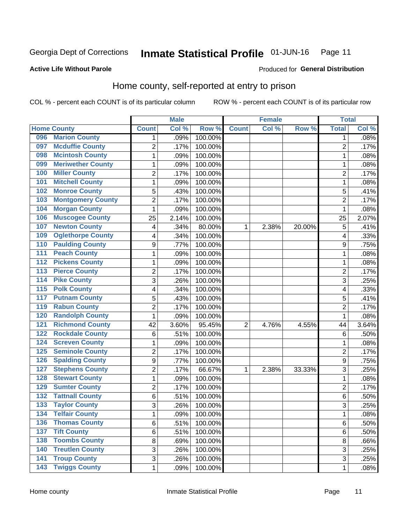#### Inmate Statistical Profile 01-JUN-16 Page 11

### **Active Life Without Parole**

## Produced for General Distribution

## Home county, self-reported at entry to prison

COL % - percent each COUNT is of its particular column

|                  |                          |                  | <b>Male</b> |         |                | <b>Female</b> |        | <b>Total</b>   |       |
|------------------|--------------------------|------------------|-------------|---------|----------------|---------------|--------|----------------|-------|
|                  | <b>Home County</b>       | <b>Count</b>     | Col%        | Row %   | <b>Count</b>   | Col %         | Row %  | <b>Total</b>   | Col % |
| 096              | <b>Marion County</b>     | 1                | .09%        | 100.00% |                |               |        | 1              | .08%  |
| 097              | <b>Mcduffie County</b>   | $\overline{2}$   | .17%        | 100.00% |                |               |        | $\overline{2}$ | .17%  |
| 098              | <b>Mcintosh County</b>   | $\mathbf 1$      | .09%        | 100.00% |                |               |        | 1              | .08%  |
| 099              | <b>Meriwether County</b> | $\mathbf 1$      | .09%        | 100.00% |                |               |        | 1              | .08%  |
| 100              | <b>Miller County</b>     | $\overline{c}$   | .17%        | 100.00% |                |               |        | $\overline{2}$ | .17%  |
| 101              | <b>Mitchell County</b>   | $\mathbf 1$      | .09%        | 100.00% |                |               |        | 1              | .08%  |
| 102              | <b>Monroe County</b>     | 5                | .43%        | 100.00% |                |               |        | 5              | .41%  |
| 103              | <b>Montgomery County</b> | $\overline{2}$   | .17%        | 100.00% |                |               |        | $\overline{2}$ | .17%  |
| 104              | <b>Morgan County</b>     | $\mathbf 1$      | .09%        | 100.00% |                |               |        | 1              | .08%  |
| 106              | <b>Muscogee County</b>   | 25               | 2.14%       | 100.00% |                |               |        | 25             | 2.07% |
| 107              | <b>Newton County</b>     | 4                | .34%        | 80.00%  | 1              | 2.38%         | 20.00% | 5              | .41%  |
| 109              | <b>Oglethorpe County</b> | 4                | .34%        | 100.00% |                |               |        | 4              | .33%  |
| 110              | <b>Paulding County</b>   | $\boldsymbol{9}$ | .77%        | 100.00% |                |               |        | 9              | .75%  |
| 111              | <b>Peach County</b>      | $\mathbf 1$      | .09%        | 100.00% |                |               |        | 1              | .08%  |
| $\overline{112}$ | <b>Pickens County</b>    | $\mathbf 1$      | .09%        | 100.00% |                |               |        | 1              | .08%  |
| 113              | <b>Pierce County</b>     | $\overline{c}$   | .17%        | 100.00% |                |               |        | $\overline{2}$ | .17%  |
| 114              | <b>Pike County</b>       | 3                | .26%        | 100.00% |                |               |        | 3              | .25%  |
| $\overline{115}$ | <b>Polk County</b>       | 4                | .34%        | 100.00% |                |               |        | 4              | .33%  |
| 117              | <b>Putnam County</b>     | 5                | .43%        | 100.00% |                |               |        | 5              | .41%  |
| 119              | <b>Rabun County</b>      | $\overline{c}$   | .17%        | 100.00% |                |               |        | $\overline{2}$ | .17%  |
| 120              | <b>Randolph County</b>   | $\mathbf 1$      | .09%        | 100.00% |                |               |        | 1              | .08%  |
| 121              | <b>Richmond County</b>   | 42               | 3.60%       | 95.45%  | $\overline{2}$ | 4.76%         | 4.55%  | 44             | 3.64% |
| 122              | <b>Rockdale County</b>   | 6                | .51%        | 100.00% |                |               |        | 6              | .50%  |
| 124              | <b>Screven County</b>    | 1                | .09%        | 100.00% |                |               |        | 1              | .08%  |
| 125              | <b>Seminole County</b>   | $\overline{2}$   | .17%        | 100.00% |                |               |        | $\overline{2}$ | .17%  |
| 126              | <b>Spalding County</b>   | 9                | .77%        | 100.00% |                |               |        | 9              | .75%  |
| 127              | <b>Stephens County</b>   | $\overline{2}$   | .17%        | 66.67%  | 1              | 2.38%         | 33.33% | 3              | .25%  |
| 128              | <b>Stewart County</b>    | $\mathbf 1$      | .09%        | 100.00% |                |               |        | 1              | .08%  |
| 129              | <b>Sumter County</b>     | $\overline{2}$   | .17%        | 100.00% |                |               |        | $\overline{2}$ | .17%  |
| 132              | <b>Tattnall County</b>   | 6                | .51%        | 100.00% |                |               |        | 6              | .50%  |
| 133              | <b>Taylor County</b>     | 3                | .26%        | 100.00% |                |               |        | 3              | .25%  |
| 134              | <b>Telfair County</b>    | 1                | .09%        | 100.00% |                |               |        | 1              | .08%  |
| 136              | <b>Thomas County</b>     | 6                | .51%        | 100.00% |                |               |        | 6              | .50%  |
| $\overline{137}$ | <b>Tift County</b>       | 6                | .51%        | 100.00% |                |               |        | $\,6$          | .50%  |
| 138              | <b>Toombs County</b>     | 8                | .69%        | 100.00% |                |               |        | 8              | .66%  |
| 140              | <b>Treutlen County</b>   | 3                | .26%        | 100.00% |                |               |        | $\overline{3}$ | .25%  |
| 141              | <b>Troup County</b>      | 3                | .26%        | 100.00% |                |               |        | 3              | .25%  |
| $\overline{143}$ | <b>Twiggs County</b>     | $\mathbf 1$      | .09%        | 100.00% |                |               |        | 1              | .08%  |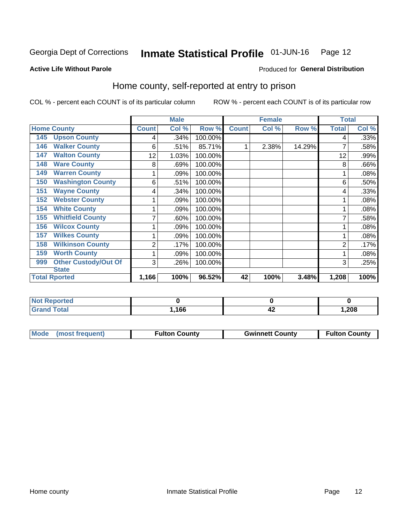#### Inmate Statistical Profile 01-JUN-16 Page 12

### **Active Life Without Parole**

### Produced for General Distribution

## Home county, self-reported at entry to prison

COL % - percent each COUNT is of its particular column

|                                    |                | <b>Male</b> |         |              | <b>Female</b> |        | <b>Total</b> |       |
|------------------------------------|----------------|-------------|---------|--------------|---------------|--------|--------------|-------|
| <b>Home County</b>                 | <b>Count</b>   | Col %       | Row %   | <b>Count</b> | Col %         | Row %  | <b>Total</b> | Col % |
| <b>Upson County</b><br>145         | 4              | .34%        | 100.00% |              |               |        | 4            | .33%  |
| <b>Walker County</b><br>146        | 6              | .51%        | 85.71%  |              | 2.38%         | 14.29% |              | .58%  |
| <b>Walton County</b><br>147        | 12             | 1.03%       | 100.00% |              |               |        | 12           | .99%  |
| <b>Ware County</b><br>148          | 8              | .69%        | 100.00% |              |               |        | 8            | .66%  |
| <b>Warren County</b><br>149        |                | .09%        | 100.00% |              |               |        |              | .08%  |
| <b>Washington County</b><br>150    | 6              | .51%        | 100.00% |              |               |        | 6            | .50%  |
| <b>Wayne County</b><br>151         | 4              | .34%        | 100.00% |              |               |        | 4            | .33%  |
| <b>Webster County</b><br>152       |                | .09%        | 100.00% |              |               |        |              | .08%  |
| <b>White County</b><br>154         | 1              | .09%        | 100.00% |              |               |        |              | .08%  |
| <b>Whitfield County</b><br>155     | 7              | .60%        | 100.00% |              |               |        |              | .58%  |
| <b>Wilcox County</b><br>156        | 1              | .09%        | 100.00% |              |               |        |              | .08%  |
| <b>Wilkes County</b><br>157        |                | .09%        | 100.00% |              |               |        |              | .08%  |
| <b>Wilkinson County</b><br>158     | $\overline{2}$ | .17%        | 100.00% |              |               |        | 2            | .17%  |
| <b>Worth County</b><br>159         | 1              | .09%        | 100.00% |              |               |        |              | .08%  |
| <b>Other Custody/Out Of</b><br>999 | 3              | .26%        | 100.00% |              |               |        | 3            | .25%  |
| <b>State</b>                       |                |             |         |              |               |        |              |       |
| <b>Total Rported</b>               | 1,166          | 100%        | 96.52%  | 42           | 100%          | 3.48%  | 1,208        | 100%  |

| <b>Reported</b> |      |              |      |
|-----------------|------|--------------|------|
| 'otal<br>______ | ,166 | <u> TA 1</u> | ,208 |

| Mode (most frequent) | <b>Fulton County</b> | <b>Gwinnett County</b> | <b>Fulton County</b> |
|----------------------|----------------------|------------------------|----------------------|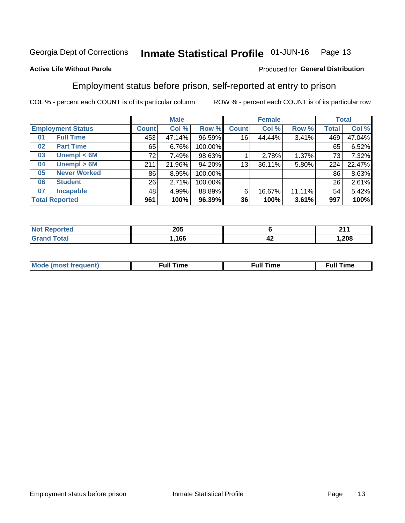#### Inmate Statistical Profile 01-JUN-16 Page 13

### **Active Life Without Parole**

### Produced for General Distribution

## Employment status before prison, self-reported at entry to prison

COL % - percent each COUNT is of its particular column

|                           |              | <b>Male</b> |         |              | <b>Female</b> |        |       | <b>Total</b> |
|---------------------------|--------------|-------------|---------|--------------|---------------|--------|-------|--------------|
| <b>Employment Status</b>  | <b>Count</b> | Col %       | Row %   | <b>Count</b> | Col %         | Row %  | Total | Col %        |
| <b>Full Time</b><br>01    | 453          | 47.14%      | 96.59%  | 16           | 44.44%        | 3.41%  | 469   | 47.04%       |
| <b>Part Time</b><br>02    | 65           | 6.76%       | 100.00% |              |               |        | 65    | 6.52%        |
| Unempl $<$ 6M<br>03       | 72           | 7.49%       | 98.63%  |              | 2.78%         | 1.37%  | 73    | 7.32%        |
| Unempl > 6M<br>04         | 211          | 21.96%      | 94.20%  | 13           | 36.11%        | 5.80%  | 224   | 22.47%       |
| <b>Never Worked</b><br>05 | 86           | 8.95%       | 100.00% |              |               |        | 86    | 8.63%        |
| <b>Student</b><br>06      | 26           | 2.71%       | 100.00% |              |               |        | 26    | 2.61%        |
| <b>Incapable</b><br>07    | 48           | 4.99%       | 88.89%  | 6            | 16.67%        | 11.11% | 54    | 5.42%        |
| <b>Total Reported</b>     | 961          | 100%        | 96.39%  | 36           | 100%          | 3.61%  | 997   | 100%         |

| 205 |    | $\mathbf{A}$ |
|-----|----|--------------|
| 166 | 44 | .208         |

| Mc | ∙u∥<br>----<br>ıme | ίuΙ<br>Πmε |
|----|--------------------|------------|
|    |                    |            |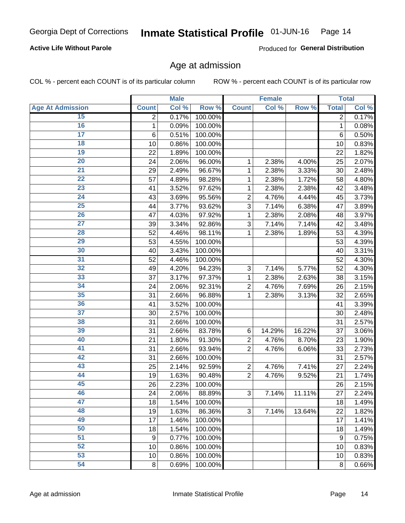## **Active Life Without Parole**

Produced for General Distribution

## Age at admission

COL % - percent each COUNT is of its particular column

|                         |                 | <b>Male</b> |         |                | <b>Female</b> |        |                  | <b>Total</b> |
|-------------------------|-----------------|-------------|---------|----------------|---------------|--------|------------------|--------------|
| <b>Age At Admission</b> | <b>Count</b>    | Col %       | Row %   | <b>Count</b>   | Col %         | Row %  | <b>Total</b>     | Col %        |
| 15                      | 2               | 0.17%       | 100.00% |                |               |        | 2                | 0.17%        |
| 16                      | 1               | 0.09%       | 100.00% |                |               |        | $\mathbf{1}$     | 0.08%        |
| $\overline{17}$         | $6\phantom{1}6$ | 0.51%       | 100.00% |                |               |        | 6                | 0.50%        |
| 18                      | 10              | 0.86%       | 100.00% |                |               |        | 10               | 0.83%        |
| 19                      | 22              | 1.89%       | 100.00% |                |               |        | 22               | 1.82%        |
| $\overline{20}$         | 24              | 2.06%       | 96.00%  | 1              | 2.38%         | 4.00%  | 25               | 2.07%        |
| 21                      | 29              | 2.49%       | 96.67%  | 1              | 2.38%         | 3.33%  | 30               | 2.48%        |
| 22                      | 57              | 4.89%       | 98.28%  | 1              | 2.38%         | 1.72%  | 58               | 4.80%        |
| 23                      | 41              | 3.52%       | 97.62%  | 1              | 2.38%         | 2.38%  | 42               | 3.48%        |
| 24                      | 43              | 3.69%       | 95.56%  | $\overline{2}$ | 4.76%         | 4.44%  | 45               | 3.73%        |
| $\overline{25}$         | 44              | 3.77%       | 93.62%  | 3              | 7.14%         | 6.38%  | 47               | 3.89%        |
| 26                      | 47              | 4.03%       | 97.92%  | 1              | 2.38%         | 2.08%  | 48               | 3.97%        |
| $\overline{27}$         | 39              | 3.34%       | 92.86%  | 3              | 7.14%         | 7.14%  | 42               | 3.48%        |
| 28                      | 52              | 4.46%       | 98.11%  | 1              | 2.38%         | 1.89%  | 53               | 4.39%        |
| 29                      | 53              | 4.55%       | 100.00% |                |               |        | 53               | 4.39%        |
| 30                      | 40              | 3.43%       | 100.00% |                |               |        | 40               | 3.31%        |
| 31                      | 52              | 4.46%       | 100.00% |                |               |        | 52               | 4.30%        |
| 32                      | 49              | 4.20%       | 94.23%  | 3              | 7.14%         | 5.77%  | 52               | 4.30%        |
| 33                      | 37              | 3.17%       | 97.37%  | 1              | 2.38%         | 2.63%  | 38               | 3.15%        |
| 34                      | 24              | 2.06%       | 92.31%  | $\overline{2}$ | 4.76%         | 7.69%  | 26               | 2.15%        |
| 35                      | 31              | 2.66%       | 96.88%  | 1              | 2.38%         | 3.13%  | 32               | 2.65%        |
| 36                      | 41              | 3.52%       | 100.00% |                |               |        | 41               | 3.39%        |
| $\overline{37}$         | 30              | 2.57%       | 100.00% |                |               |        | 30               | 2.48%        |
| 38                      | 31              | 2.66%       | 100.00% |                |               |        | 31               | 2.57%        |
| 39                      | 31              | 2.66%       | 83.78%  | 6              | 14.29%        | 16.22% | 37               | 3.06%        |
| 40                      | 21              | 1.80%       | 91.30%  | $\overline{2}$ | 4.76%         | 8.70%  | 23               | 1.90%        |
| 41                      | 31              | 2.66%       | 93.94%  | $\overline{2}$ | 4.76%         | 6.06%  | 33               | 2.73%        |
| 42                      | 31              | 2.66%       | 100.00% |                |               |        | 31               | 2.57%        |
| 43                      | 25              | 2.14%       | 92.59%  | $\overline{2}$ | 4.76%         | 7.41%  | 27               | 2.24%        |
| 44                      | 19              | 1.63%       | 90.48%  | $\overline{2}$ | 4.76%         | 9.52%  | 21               | 1.74%        |
| 45                      | 26              | 2.23%       | 100.00% |                |               |        | 26               | 2.15%        |
| 46                      | 24              | 2.06%       | 88.89%  | 3              | 7.14%         | 11.11% | 27               | 2.24%        |
| 47                      | 18              | 1.54%       | 100.00% |                |               |        | 18               | 1.49%        |
| 48                      | 19              | 1.63%       | 86.36%  | 3              | 7.14%         | 13.64% | 22               | 1.82%        |
| 49                      | 17              | 1.46%       | 100.00% |                |               |        | 17               | 1.41%        |
| 50                      | 18              | 1.54%       | 100.00% |                |               |        | 18               | 1.49%        |
| $\overline{51}$         | 9               | 0.77%       | 100.00% |                |               |        | $\boldsymbol{9}$ | 0.75%        |
| 52                      | 10              | 0.86%       | 100.00% |                |               |        | 10               | 0.83%        |
| 53                      | 10              | 0.86%       | 100.00% |                |               |        | 10               | 0.83%        |
| 54                      | 8               | 0.69%       | 100.00% |                |               |        | 8                | 0.66%        |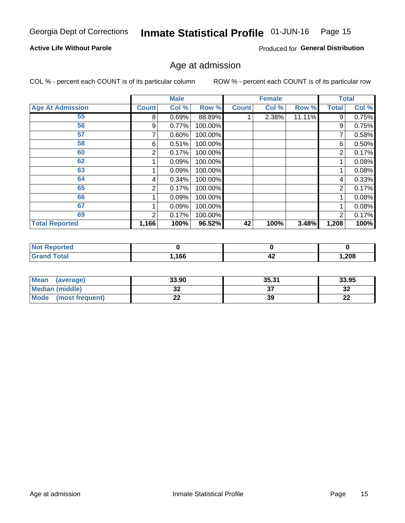#### Inmate Statistical Profile 01-JUN-16 Page 15

### **Active Life Without Parole**

Produced for General Distribution

## Age at admission

COL % - percent each COUNT is of its particular column

|                         |              | <b>Male</b> |         |              | <b>Female</b> |        |                | <b>Total</b> |
|-------------------------|--------------|-------------|---------|--------------|---------------|--------|----------------|--------------|
| <b>Age At Admission</b> | <b>Count</b> | Col %       | Row %   | <b>Count</b> | Col %         | Row %  | <b>Total</b>   | Col %        |
| 55                      | 8            | 0.69%       | 88.89%  |              | 2.38%         | 11.11% | 9              | 0.75%        |
| 56                      | 9            | 0.77%       | 100.00% |              |               |        | 9              | 0.75%        |
| 57                      |              | 0.60%       | 100.00% |              |               |        |                | 0.58%        |
| 58                      | 6            | 0.51%       | 100.00% |              |               |        | 6              | 0.50%        |
| 60                      | 2            | 0.17%       | 100.00% |              |               |        | 2              | 0.17%        |
| 62                      |              | 0.09%       | 100.00% |              |               |        |                | 0.08%        |
| 63                      |              | 0.09%       | 100.00% |              |               |        |                | 0.08%        |
| 64                      | 4            | 0.34%       | 100.00% |              |               |        | 4              | 0.33%        |
| 65                      | 2            | 0.17%       | 100.00% |              |               |        | $\overline{2}$ | 0.17%        |
| 66                      |              | 0.09%       | 100.00% |              |               |        |                | 0.08%        |
| 67                      |              | 0.09%       | 100.00% |              |               |        |                | 0.08%        |
| 69                      | 2            | 0.17%       | 100.00% |              |               |        | $\overline{2}$ | 0.17%        |
| <b>Total Reported</b>   | 1,166        | 100%        | 96.52%  | 42           | 100%          | 3.48%  | 1,208          | 100%         |

| ported<br>' NOt |      |    |        |
|-----------------|------|----|--------|
| <b>Total</b>    | ,166 | 44 | 208, ا |

| Mean<br>(average)              | 33.90   | 35.31 | 33.95      |
|--------------------------------|---------|-------|------------|
| <b>Median (middle)</b>         | ົ<br>JŁ |       | - 20<br>⊾د |
| <b>Mode</b><br>(most frequent) | ົ<br>LL | 39    | ne.<br>LL  |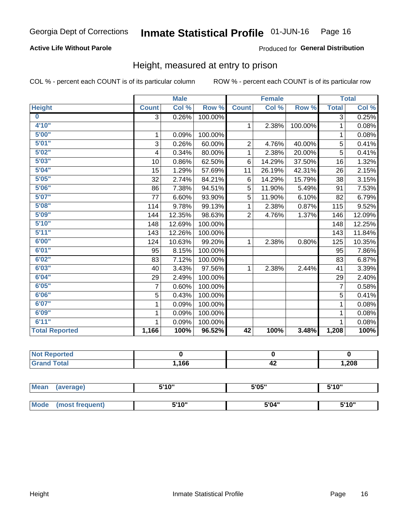## **Active Life Without Parole**

### Produced for General Distribution

## Height, measured at entry to prison

COL % - percent each COUNT is of its particular column

|                         |                | <b>Male</b> |         |                | <b>Female</b> |         |                | <b>Total</b> |
|-------------------------|----------------|-------------|---------|----------------|---------------|---------|----------------|--------------|
| <b>Height</b>           | <b>Count</b>   | Col %       | Row %   | <b>Count</b>   | Col %         | Row %   | <b>Total</b>   | Col %        |
| $\overline{\mathbf{0}}$ | $\overline{3}$ | 0.26%       | 100.00% |                |               |         | 3              | 0.25%        |
| 4'10"                   |                |             |         | $\mathbf{1}$   | 2.38%         | 100.00% | 1              | 0.08%        |
| 5'00''                  | 1              | 0.09%       | 100.00% |                |               |         | 1              | 0.08%        |
| 5'01"                   | 3              | 0.26%       | 60.00%  | $\overline{2}$ | 4.76%         | 40.00%  | 5              | 0.41%        |
| 5'02"                   | 4              | 0.34%       | 80.00%  | 1              | 2.38%         | 20.00%  | 5              | 0.41%        |
| 5'03''                  | 10             | 0.86%       | 62.50%  | 6              | 14.29%        | 37.50%  | 16             | 1.32%        |
| 5'04"                   | 15             | 1.29%       | 57.69%  | 11             | 26.19%        | 42.31%  | 26             | 2.15%        |
| 5'05"                   | 32             | 2.74%       | 84.21%  | 6              | 14.29%        | 15.79%  | 38             | 3.15%        |
| 5'06''                  | 86             | 7.38%       | 94.51%  | 5              | 11.90%        | 5.49%   | 91             | 7.53%        |
| 5'07''                  | 77             | 6.60%       | 93.90%  | 5              | 11.90%        | 6.10%   | 82             | 6.79%        |
| 5'08''                  | 114            | 9.78%       | 99.13%  | 1              | 2.38%         | 0.87%   | 115            | 9.52%        |
| 5'09''                  | 144            | 12.35%      | 98.63%  | $\overline{2}$ | 4.76%         | 1.37%   | 146            | 12.09%       |
| 5'10''                  | 148            | 12.69%      | 100.00% |                |               |         | 148            | 12.25%       |
| 5'11''                  | 143            | 12.26%      | 100.00% |                |               |         | 143            | 11.84%       |
| 6'00''                  | 124            | 10.63%      | 99.20%  | $\mathbf{1}$   | 2.38%         | 0.80%   | 125            | 10.35%       |
| 6'01''                  | 95             | 8.15%       | 100.00% |                |               |         | 95             | 7.86%        |
| 6'02"                   | 83             | 7.12%       | 100.00% |                |               |         | 83             | 6.87%        |
| 6'03''                  | 40             | 3.43%       | 97.56%  | $\mathbf{1}$   | 2.38%         | 2.44%   | 41             | 3.39%        |
| 6'04"                   | 29             | 2.49%       | 100.00% |                |               |         | 29             | 2.40%        |
| 6'05"                   | 7              | 0.60%       | 100.00% |                |               |         | $\overline{7}$ | 0.58%        |
| 6'06''                  | 5              | 0.43%       | 100.00% |                |               |         | 5              | 0.41%        |
| 6'07''                  | 1              | 0.09%       | 100.00% |                |               |         | 1              | 0.08%        |
| 6'09''                  | 1              | 0.09%       | 100.00% |                |               |         | 1              | 0.08%        |
| 6'11''                  |                | 0.09%       | 100.00% |                |               |         |                | 0.08%        |
| <b>Total Reported</b>   | 1,166          | 100%        | 96.52%  | 42             | 100%          | 3.48%   | 1,208          | 100%         |

| NOT.<br>rtea<br>менон<br>$\sim$ |      |    |      |
|---------------------------------|------|----|------|
| $f$ oto $f$                     | ,166 | 44 | ,208 |

| <b>Mean</b> | (average)       | 5'10" | 5'05" | 5'10"<br>J |
|-------------|-----------------|-------|-------|------------|
|             |                 |       |       |            |
| <b>Mode</b> | (most frequent) | 5'10" | 5'04" | 5'10"      |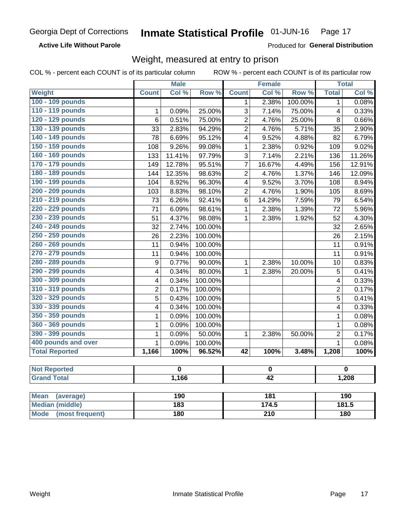**Active Life Without Parole** 

Produced for General Distribution

## Weight, measured at entry to prison

COL % - percent each COUNT is of its particular column

ROW % - percent each COUNT is of its particular row

|                          |                  | <b>Male</b> |         |                         | <b>Female</b> |         |                | <b>Total</b>     |  |
|--------------------------|------------------|-------------|---------|-------------------------|---------------|---------|----------------|------------------|--|
| <b>Weight</b>            | <b>Count</b>     | Col %       | Row %   | <b>Count</b>            | Col%          | Row %   | <b>Total</b>   | Col %            |  |
| 100 - 109 pounds         |                  |             |         | 1                       | 2.38%         | 100.00% | $\mathbf{1}$   | 0.08%            |  |
| 110 - 119 pounds         | 1                | 0.09%       | 25.00%  | 3                       | 7.14%         | 75.00%  | 4              | 0.33%            |  |
| 120 - 129 pounds         | 6                | 0.51%       | 75.00%  | $\overline{2}$          | 4.76%         | 25.00%  | 8              | 0.66%            |  |
| 130 - 139 pounds         | 33               | 2.83%       | 94.29%  | $\overline{2}$          | 4.76%         | 5.71%   | 35             | 2.90%            |  |
| 140 - 149 pounds         | 78               | 6.69%       | 95.12%  | $\overline{\mathbf{4}}$ | 9.52%         | 4.88%   | 82             | 6.79%            |  |
| 150 - 159 pounds         | 108              | 9.26%       | 99.08%  | 1                       | 2.38%         | 0.92%   | 109            | 9.02%            |  |
| 160 - 169 pounds         | 133              | 11.41%      | 97.79%  | 3                       | 7.14%         | 2.21%   | 136            | 11.26%           |  |
| 170 - 179 pounds         | 149              | 12.78%      | 95.51%  | $\overline{7}$          | 16.67%        | 4.49%   | 156            | 12.91%           |  |
| 180 - 189 pounds         | 144              | 12.35%      | 98.63%  | $\overline{2}$          | 4.76%         | 1.37%   | 146            | 12.09%           |  |
| 190 - 199 pounds         | 104              | 8.92%       | 96.30%  | $\overline{\mathbf{4}}$ | 9.52%         | 3.70%   | 108            | 8.94%            |  |
| 200 - 209 pounds         | 103              | 8.83%       | 98.10%  | $\overline{2}$          | 4.76%         | 1.90%   | 105            | 8.69%            |  |
| 210 - 219 pounds         | 73               | 6.26%       | 92.41%  | 6                       | 14.29%        | 7.59%   | 79             | 6.54%            |  |
| 220 - 229 pounds         | 71               | 6.09%       | 98.61%  | 1                       | 2.38%         | 1.39%   | 72             | 5.96%            |  |
| 230 - 239 pounds         | 51               | 4.37%       | 98.08%  | 1                       | 2.38%         | 1.92%   | 52             | 4.30%            |  |
| 240 - 249 pounds         | 32               | 2.74%       | 100.00% |                         |               |         | 32             | 2.65%            |  |
| 250 - 259 pounds         | 26               | 2.23%       | 100.00% |                         |               |         | 26             | 2.15%            |  |
| 260 - 269 pounds         | 11               | 0.94%       | 100.00% |                         |               |         | 11             | 0.91%            |  |
| 270 - 279 pounds         | 11               | 0.94%       | 100.00% |                         |               |         | 11             | 0.91%            |  |
| 280 - 289 pounds         | $\boldsymbol{9}$ | 0.77%       | 90.00%  | 1                       | 2.38%         | 10.00%  | 10             | 0.83%            |  |
| 290 - 299 pounds         | 4                | 0.34%       | 80.00%  | 1                       | 2.38%         | 20.00%  | $\overline{5}$ | 0.41%            |  |
| 300 - 309 pounds         | 4                | 0.34%       | 100.00% |                         |               |         | 4              | 0.33%            |  |
| 310 - 319 pounds         | $\overline{2}$   | 0.17%       | 100.00% |                         |               |         | $\overline{2}$ | 0.17%            |  |
| 320 - 329 pounds         | $\overline{5}$   | 0.43%       | 100.00% |                         |               |         | 5              | 0.41%            |  |
| 330 - 339 pounds         | 4                | 0.34%       | 100.00% |                         |               |         | 4              | 0.33%            |  |
| 350 - 359 pounds         | 1                | 0.09%       | 100.00% |                         |               |         | $\mathbf{1}$   | 0.08%            |  |
| 360 - 369 pounds         | 1                | 0.09%       | 100.00% |                         |               |         | $\mathbf{1}$   | 0.08%            |  |
| 390 - 399 pounds         | 1                | 0.09%       | 50.00%  | $\mathbf{1}$            | 2.38%         | 50.00%  | $\overline{2}$ | 0.17%            |  |
| 400 pounds and over      | $\mathbf{1}$     | 0.09%       | 100.00% |                         |               |         | $\mathbf{1}$   | 0.08%            |  |
| <b>Total Reported</b>    | 1,166            | 100%        | 96.52%  | $\overline{42}$         | 100%          | 3.48%   | 1,208          | 100%             |  |
| <b>Not Reported</b>      |                  | $\mathbf 0$ |         |                         | $\pmb{0}$     |         |                | $\mathbf 0$      |  |
| <b>Grand Total</b>       |                  | 1,166       |         | $\overline{42}$         |               |         | 1,208          |                  |  |
|                          |                  |             |         |                         |               |         |                |                  |  |
| <b>Mean</b><br>(average) |                  | 190         |         |                         | 181           |         |                | $\overline{190}$ |  |

**Median (middle)** 

(most frequent)

**Mode** 

Weight

 $174.5$ 

 $\overline{210}$ 

 $\overline{183}$ 

 $180$ 

 $181.5$ 

 $\overline{180}$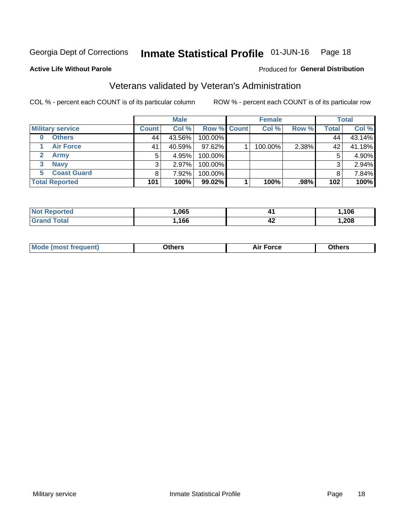#### Inmate Statistical Profile 01-JUN-16 Page 18

### **Active Life Without Parole**

### Produced for General Distribution

## Veterans validated by Veteran's Administration

COL % - percent each COUNT is of its particular column

|                         |              | <b>Male</b> |                    | <b>Female</b> |       |              | <b>Total</b> |
|-------------------------|--------------|-------------|--------------------|---------------|-------|--------------|--------------|
| <b>Military service</b> | <b>Count</b> | Col %       | <b>Row % Count</b> | Col %         | Row % | <b>Total</b> | Col %        |
| <b>Others</b><br>0      | 44           | 43.56%      | 100.00%            |               |       | 44           | 43.14%       |
| <b>Air Force</b>        | 41           | 40.59%      | 97.62%             | 100.00%       | 2.38% | 42           | 41.18%       |
| <b>Army</b>             | 5            | 4.95%       | 100.00%            |               |       | 5            | 4.90%        |
| <b>Navy</b><br>3        | 3            | 2.97%       | 100.00%            |               |       | 3            | 2.94%        |
| <b>Coast Guard</b><br>5 |              | 7.92%       | 100.00%            |               |       | 8            | 7.84%        |
| <b>Total Reported</b>   | 101          | 100%        | 99.02%             | 100%          | .98%  | 102          | 100%         |

| тес         | .065 | A' | 106  |
|-------------|------|----|------|
| <b>Tota</b> | 166  | 44 | ,208 |

| Mo<br>m | ∖‡h∧rc<br>_____ | $-0.002$<br>28 F T<br>UI CE | <b>Others</b><br>____ |
|---------|-----------------|-----------------------------|-----------------------|
|         |                 |                             |                       |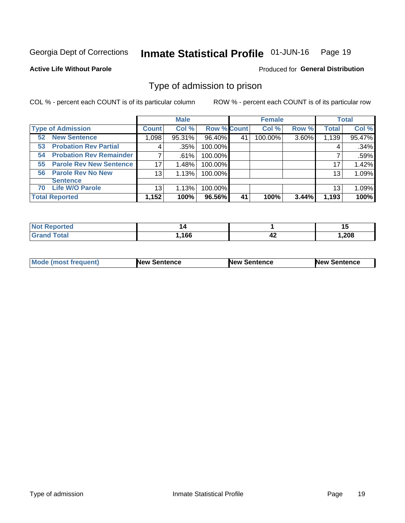#### Inmate Statistical Profile 01-JUN-16 Page 19

#### **Active Life Without Parole**

### Produced for General Distribution

## Type of admission to prison

COL % - percent each COUNT is of its particular column

|                                      |              | <b>Male</b> |                    |    | <b>Female</b> |       |              | <b>Total</b> |
|--------------------------------------|--------------|-------------|--------------------|----|---------------|-------|--------------|--------------|
| <b>Type of Admission</b>             | <b>Count</b> | Col %       | <b>Row % Count</b> |    | Col %         | Row % | <b>Total</b> | Col %        |
| <b>New Sentence</b><br>52            | 1,098        | 95.31%      | 96.40%             | 41 | 100.00%       | 3.60% | 1,139        | 95.47%       |
| <b>Probation Rev Partial</b><br>53   | 4            | .35%        | 100.00%            |    |               |       | 4            | .34%         |
| <b>Probation Rev Remainder</b><br>54 |              | .61%        | 100.00%            |    |               |       |              | .59%         |
| <b>Parole Rev New Sentence</b><br>55 | 17           | 1.48%       | 100.00%            |    |               |       | 17           | 1.42%        |
| 56 Parole Rev No New                 | 13           | 1.13%       | 100.00%            |    |               |       | 13           | 1.09%        |
| <b>Sentence</b>                      |              |             |                    |    |               |       |              |              |
| <b>Life W/O Parole</b><br>70         | 13           | 1.13%       | 100.00%            |    |               |       | 13           | 1.09%        |
| <b>Total Reported</b>                | 1,152        | 100%        | 96.56%             | 41 | 100%          | 3.44% | 1,193        | 100%         |

| keported<br>Nt |     |    | 1 v    |
|----------------|-----|----|--------|
| 'otal          | 166 | 44 | 208, ا |

| <b>Mode (most frequent)</b> | <b>New Sentence</b> | <b>New Sentence</b> | <b>New Sentence</b> |
|-----------------------------|---------------------|---------------------|---------------------|
|                             |                     |                     |                     |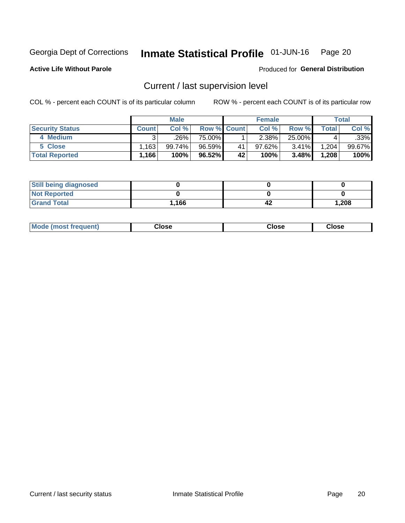#### Inmate Statistical Profile 01-JUN-16 Page 20

**Active Life Without Parole** 

Produced for General Distribution

## Current / last supervision level

COL % - percent each COUNT is of its particular column

|                        |              | <b>Male</b> |                    |    | <b>Female</b> |        |       | <b>Total</b> |
|------------------------|--------------|-------------|--------------------|----|---------------|--------|-------|--------------|
| <b>Security Status</b> | <b>Count</b> | Col%        | <b>Row % Count</b> |    | Col %         | Row %  | Total | Col %        |
| 4 Medium               | ົ            | ا 26%.      | 75.00%             |    | 2.38%         | 25.00% |       | .33%         |
| 5 Close                | ∃163.        | 99.74%」     | 96.59%             | 41 | 97.62%        | 3.41%  | 1,204 | 99.67%       |
| <b>Total Reported</b>  | 1,166        | 100%        | 96.52%             | 42 | 100%          | 3.48%  | 1,208 | 100%         |

| <b>Still being diagnosed</b> |      |    |       |
|------------------------------|------|----|-------|
| <b>Not Reported</b>          |      |    |       |
| <b>Grand Total</b>           | .166 | 42 | 1,208 |

| <b>AhoM</b><br>rreauent) | Close | Close | Close |
|--------------------------|-------|-------|-------|
|                          |       |       |       |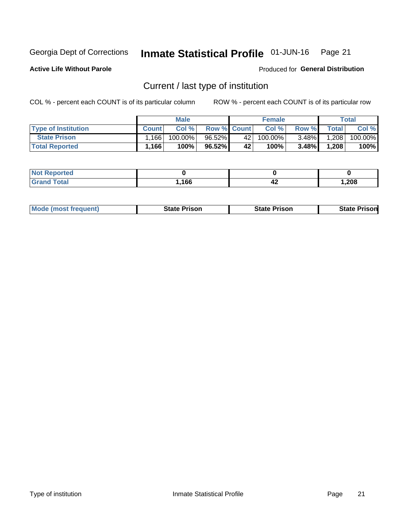#### Inmate Statistical Profile 01-JUN-16 Page 21

**Active Life Without Parole** 

Produced for General Distribution

## Current / last type of institution

COL % - percent each COUNT is of its particular column

|                            |              | <b>Male</b> |                    |    | <b>Female</b> |          |              | Total   |
|----------------------------|--------------|-------------|--------------------|----|---------------|----------|--------------|---------|
| <b>Type of Institution</b> | <b>Count</b> | Col %       | <b>Row % Count</b> |    | Col %         | Row %    | <b>Total</b> | Col %   |
| <b>State Prison</b>        | 166          | 100.00%     | 96.52%             | 42 | $100.00\%$    | $3.48\%$ | 1,208        | 100.00% |
| <b>Total Reported</b>      | 1,166        | 100%        | 96.52%             | 42 | 100%          | $3.48\%$ | 1,208        | 100%    |

| 'ted<br>$\sim$ |      |    |        |
|----------------|------|----|--------|
|                | .166 | 74 | 208, ا |

| <b>Mode (most frequent)</b> | State Prison | <b>State Prison</b> | State<br>⊦ Prisonl |
|-----------------------------|--------------|---------------------|--------------------|
|                             |              |                     |                    |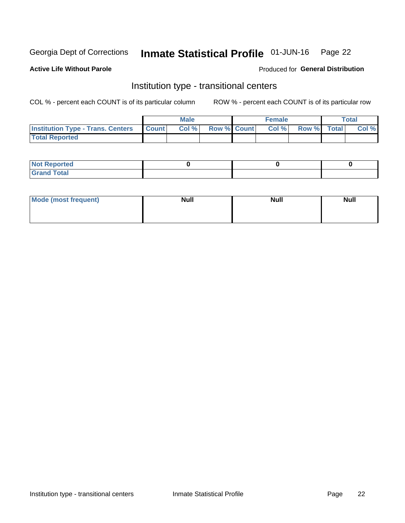#### Inmate Statistical Profile 01-JUN-16 Page 22

### **Active Life Without Parole**

### Produced for General Distribution

## Institution type - transitional centers

COL % - percent each COUNT is of its particular column

|                                                | Male  |                    | <b>Female</b> |                   | Total |
|------------------------------------------------|-------|--------------------|---------------|-------------------|-------|
| <b>Institution Type - Trans. Centers Count</b> | Col % | <b>Row % Count</b> |               | Col % Row % Total | Col % |
| <b>Total Reported</b>                          |       |                    |               |                   |       |

| <b>Reported</b><br><b>NOT</b><br>$\sim$            |  |  |
|----------------------------------------------------|--|--|
| $f$ $f \circ f \circ f$<br>$C = 1$<br><b>TULAI</b> |  |  |

| Mode (most frequent) | <b>Null</b> | <b>Null</b> | <b>Null</b> |
|----------------------|-------------|-------------|-------------|
|                      |             |             |             |
|                      |             |             |             |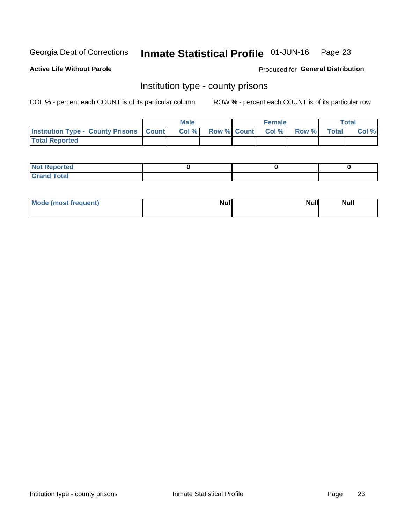#### Inmate Statistical Profile 01-JUN-16 Page 23

**Active Life Without Parole** 

Produced for General Distribution

## Institution type - county prisons

COL % - percent each COUNT is of its particular column

|                                                    | <b>Male</b> |       |  | <b>Female</b> |                          |             | <b>Total</b> |       |  |
|----------------------------------------------------|-------------|-------|--|---------------|--------------------------|-------------|--------------|-------|--|
| <b>Institution Type - County Prisons   Count  </b> |             | Col % |  |               | <b>Row % Count Col %</b> | Row % Total |              | Col % |  |
| <b>Total Reported</b>                              |             |       |  |               |                          |             |              |       |  |

| <b>Not Reported</b>   |  |  |
|-----------------------|--|--|
| <b>Total</b><br>Granc |  |  |

| Mode (most frequent) | <b>Null</b> | <b>Null</b><br><b>Null</b> |
|----------------------|-------------|----------------------------|
|                      |             |                            |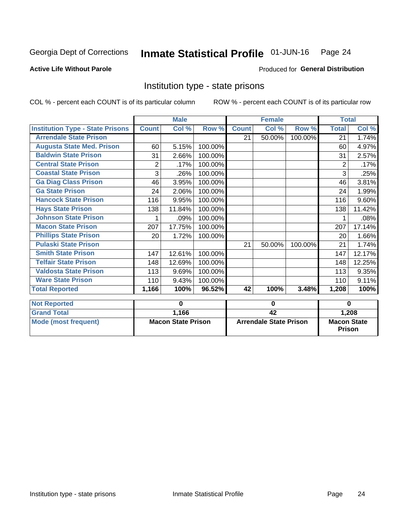#### Inmate Statistical Profile 01-JUN-16 Page 24

### **Active Life Without Parole**

### Produced for General Distribution

## Institution type - state prisons

COL % - percent each COUNT is of its particular column

ROW % - percent each COUNT is of its particular row

|                                         | <b>Male</b>  |                           |         | <b>Female</b>          |        |         | <b>Total</b>       |        |  |
|-----------------------------------------|--------------|---------------------------|---------|------------------------|--------|---------|--------------------|--------|--|
| <b>Institution Type - State Prisons</b> | <b>Count</b> | Col %                     | Row %   | <b>Count</b>           | Col %  | Row %   | <b>Total</b>       | Col %  |  |
| <b>Arrendale State Prison</b>           |              |                           |         | 21                     | 50.00% | 100.00% | 21                 | 1.74%  |  |
| <b>Augusta State Med. Prison</b>        | 60           | 5.15%                     | 100.00% |                        |        |         | 60                 | 4.97%  |  |
| <b>Baldwin State Prison</b>             | 31           | 2.66%                     | 100.00% |                        |        |         | 31                 | 2.57%  |  |
| <b>Central State Prison</b>             | 2            | .17%                      | 100.00% |                        |        |         | 2                  | .17%   |  |
| <b>Coastal State Prison</b>             | 3            | .26%                      | 100.00% |                        |        |         | 3                  | .25%   |  |
| <b>Ga Diag Class Prison</b>             | 46           | 3.95%                     | 100.00% |                        |        |         | 46                 | 3.81%  |  |
| <b>Ga State Prison</b>                  | 24           | 2.06%                     | 100.00% |                        |        |         | 24                 | 1.99%  |  |
| <b>Hancock State Prison</b>             | 116          | 9.95%                     | 100.00% |                        |        |         | 116                | 9.60%  |  |
| <b>Hays State Prison</b>                | 138          | 11.84%                    | 100.00% |                        |        |         | 138                | 11.42% |  |
| <b>Johnson State Prison</b>             | 1            | .09%                      | 100.00% |                        |        |         |                    | .08%   |  |
| <b>Macon State Prison</b>               | 207          | 17.75%                    | 100.00% |                        |        |         | 207                | 17.14% |  |
| <b>Phillips State Prison</b>            | 20           | 1.72%                     | 100.00% |                        |        |         | 20                 | 1.66%  |  |
| <b>Pulaski State Prison</b>             |              |                           |         | 21                     | 50.00% | 100.00% | 21                 | 1.74%  |  |
| <b>Smith State Prison</b>               | 147          | 12.61%                    | 100.00% |                        |        |         | 147                | 12.17% |  |
| <b>Telfair State Prison</b>             | 148          | 12.69%                    | 100.00% |                        |        |         | 148                | 12.25% |  |
| <b>Valdosta State Prison</b>            | 113          | 9.69%                     | 100.00% |                        |        |         | 113                | 9.35%  |  |
| <b>Ware State Prison</b>                | 110          | 9.43%                     | 100.00% |                        |        |         | 110                | 9.11%  |  |
| <b>Total Reported</b>                   | 1,166        | 100%                      | 96.52%  | 42                     | 100%   | 3.48%   | 1,208              | 100%   |  |
| <b>Not Reported</b>                     |              | 0                         |         | 0                      |        |         | 0                  |        |  |
| <b>Grand Total</b>                      |              | 1,166                     |         |                        | 42     |         |                    | 1,208  |  |
| Mode (most frequent)                    |              | <b>Macon State Prison</b> |         | Arrendale State Prison |        |         | <b>Macon State</b> |        |  |

Prison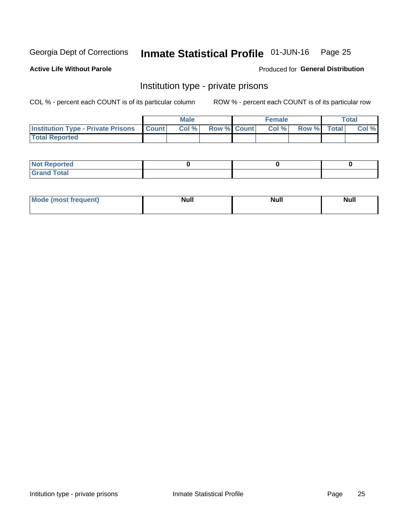#### Inmate Statistical Profile 01-JUN-16 Page 25

### **Active Life Without Parole**

### Produced for General Distribution

## Institution type - private prisons

COL % - percent each COUNT is of its particular column

|                                                     | <b>Male</b> |       |                    | <b>Female</b> |      |             | Total |       |
|-----------------------------------------------------|-------------|-------|--------------------|---------------|------|-------------|-------|-------|
| <b>Institution Type - Private Prisons   Count  </b> |             | Col % | <b>Row % Count</b> |               | Col% | Row % Total |       | Col % |
| <b>Total Reported</b>                               |             |       |                    |               |      |             |       |       |

| Not Reported           |  |  |
|------------------------|--|--|
| <b>Cotal</b><br>______ |  |  |

| <b>Mo</b><br>frequent) | <b>Null</b> | <b>Null</b> | . . I *<br><b>IVUII</b> |
|------------------------|-------------|-------------|-------------------------|
|                        |             |             |                         |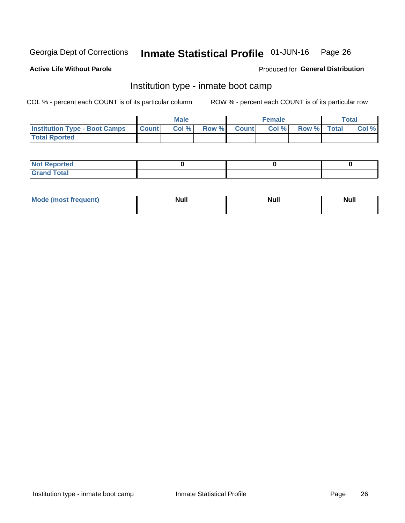#### Inmate Statistical Profile 01-JUN-16 Page 26

### **Active Life Without Parole**

### Produced for General Distribution

## Institution type - inmate boot camp

COL % - percent each COUNT is of its particular column

|                                      | <b>Male</b>     |       |              |              | <b>Female</b> | <b>Total</b> |  |       |
|--------------------------------------|-----------------|-------|--------------|--------------|---------------|--------------|--|-------|
| <b>Institution Type - Boot Camps</b> | <b>I</b> Count⊥ | Col % | <b>Row %</b> | <b>Count</b> | Col %         | Row % Total  |  | Col % |
| <b>Total Rported</b>                 |                 |       |              |              |               |              |  |       |

| <b>Not Reported</b>            |  |  |
|--------------------------------|--|--|
| <b>Total</b><br>C <sub>r</sub> |  |  |

| Mod<br>uamo | Nul.<br>$- - - - - -$ | <b>Null</b> | . .<br>uu.<br>------ |
|-------------|-----------------------|-------------|----------------------|
|             |                       |             |                      |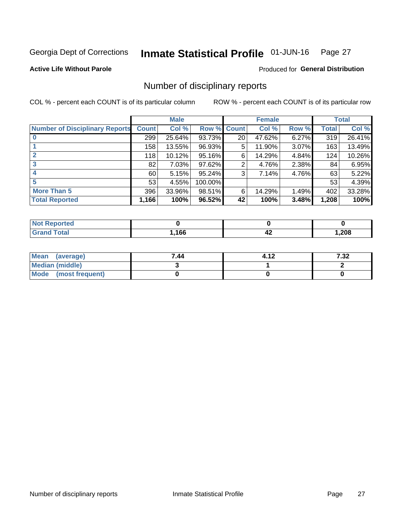#### Inmate Statistical Profile 01-JUN-16 Page 27

**Active Life Without Parole** 

Produced for General Distribution

## Number of disciplinary reports

COL % - percent each COUNT is of its particular column

|                                       | <b>Male</b>  |        |             | <b>Female</b>   |        |       | <b>Total</b> |        |
|---------------------------------------|--------------|--------|-------------|-----------------|--------|-------|--------------|--------|
| <b>Number of Disciplinary Reports</b> | <b>Count</b> | Col %  | Row % Count |                 | Col %  | Row % | Total        | Col %  |
|                                       | 299          | 25.64% | 93.73%      | 20 <sub>1</sub> | 47.62% | 6.27% | 319          | 26.41% |
|                                       | 158          | 13.55% | 96.93%      | 5               | 11.90% | 3.07% | 163          | 13.49% |
|                                       | 118          | 10.12% | 95.16%      | 6               | 14.29% | 4.84% | 124          | 10.26% |
| 3                                     | 82           | 7.03%  | 97.62%      | 2               | 4.76%  | 2.38% | 84           | 6.95%  |
|                                       | 60           | 5.15%  | 95.24%      | 3               | 7.14%  | 4.76% | 63           | 5.22%  |
| 5                                     | 53           | 4.55%  | 100.00%     |                 |        |       | 53           | 4.39%  |
| <b>More Than 5</b>                    | 396          | 33.96% | 98.51%      | 6               | 14.29% | 1.49% | 402          | 33.28% |
| <b>Total Reported</b>                 | 1,166        | 100%   | 96.52%      | 42              | 100%   | 3.48% | 1,208        | 100%   |

| NO    |      |      |        |
|-------|------|------|--------|
| Γotal | ,166 | - 14 | 208, ا |

| Mean (average)       | 7.44 | 4.12 | 7.32 |
|----------------------|------|------|------|
| Median (middle)      |      |      |      |
| Mode (most frequent) |      |      |      |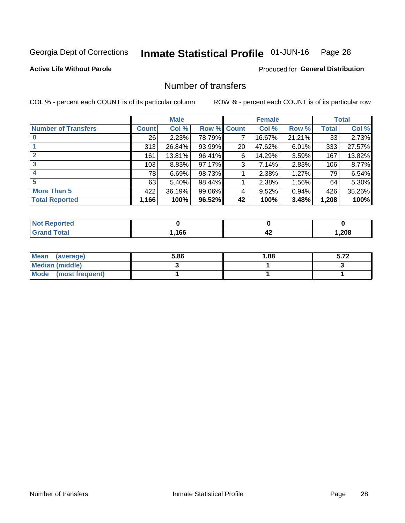#### Inmate Statistical Profile 01-JUN-16 Page 28

### **Active Life Without Parole**

### Produced for General Distribution

## Number of transfers

COL % - percent each COUNT is of its particular column

|                            |         | <b>Male</b> |        |              | <b>Female</b> |          |              | <b>Total</b> |
|----------------------------|---------|-------------|--------|--------------|---------------|----------|--------------|--------------|
| <b>Number of Transfers</b> | Count l | Col %       | Row %  | <b>Count</b> | Col %         | Row %    | <b>Total</b> | Col %        |
|                            | 26      | 2.23%       | 78.79% | 7            | 16.67%        | 21.21%   | 33           | 2.73%        |
|                            | 313     | 26.84%      | 93.99% | 20           | 47.62%        | $6.01\%$ | 333          | 27.57%       |
| 2                          | 161     | 13.81%      | 96.41% | 6            | 14.29%        | 3.59%    | 167          | 13.82%       |
| 3                          | 103     | 8.83%       | 97.17% | 3            | 7.14%         | $2.83\%$ | 106          | 8.77%        |
|                            | 78      | 6.69%       | 98.73% |              | 2.38%         | 1.27%    | 79           | 6.54%        |
| 5                          | 63      | $5.40\%$    | 98.44% |              | 2.38%         | 1.56%    | 64           | 5.30%        |
| <b>More Than 5</b>         | 422     | 36.19%      | 99.06% | 4            | 9.52%         | 0.94%    | 426          | 35.26%       |
| <b>Total Reported</b>      | 1,166   | 100%        | 96.52% | 42           | 100%          | 3.48%    | 1,208        | 100%         |

| NO    |      |      |        |
|-------|------|------|--------|
| Γotal | ,166 | - 14 | 208, ا |

| Mean (average)       | 5.86 | 1.88 | E 70<br>J.IŁ |
|----------------------|------|------|--------------|
| Median (middle)      |      |      |              |
| Mode (most frequent) |      |      |              |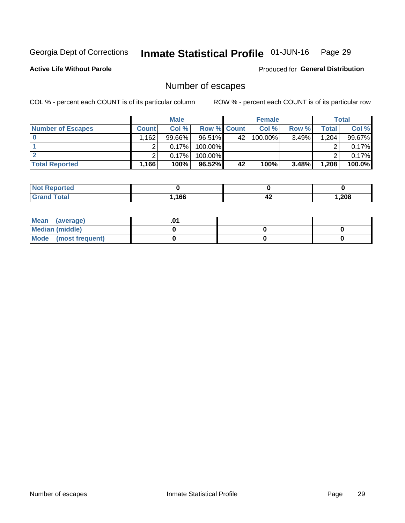#### Inmate Statistical Profile 01-JUN-16 Page 29

**Active Life Without Parole** 

Produced for General Distribution

## Number of escapes

COL % - percent each COUNT is of its particular column

|                          |              | <b>Male</b> |                    |    | <b>Female</b> |       |       | Total  |
|--------------------------|--------------|-------------|--------------------|----|---------------|-------|-------|--------|
| <b>Number of Escapes</b> | <b>Count</b> | Col %       | <b>Row % Count</b> |    | Col %         | Row % | Total | Col %  |
|                          | .162         | $99.66\%$   | 96.51%             | 42 | $100.00\%$    | 3.49% | 1,204 | 99.67% |
|                          |              | 0.17%       | 100.00%            |    |               |       |       | 0.17%  |
|                          |              | 0.17%       | $100.00\%$         |    |               |       |       | 0.17%  |
| <b>Total Reported</b>    | $.166+$      | 100%        | $96.52\%$          | 42 | 100%          | 3.48% | 1,208 | 100.0% |

| <b>Reported</b><br><b>NOT</b> |      |      |        |
|-------------------------------|------|------|--------|
| <b>Total</b>                  | .166 | - 14 | 208, ا |

| Mean (average)       |  |  |
|----------------------|--|--|
| Median (middle)      |  |  |
| Mode (most frequent) |  |  |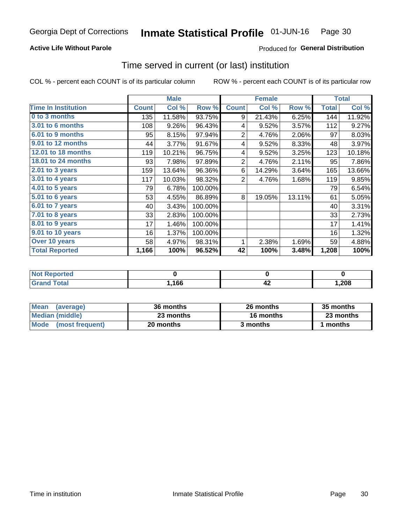## **Active Life Without Parole**

## **Produced for General Distribution**

## Time served in current (or last) institution

COL % - percent each COUNT is of its particular column

|                              |              | <b>Male</b> |         |                | <b>Female</b> |        |              | <b>Total</b> |
|------------------------------|--------------|-------------|---------|----------------|---------------|--------|--------------|--------------|
| <b>Time In Institution</b>   | <b>Count</b> | Col %       | Row %   | <b>Count</b>   | Col %         | Row %  | <b>Total</b> | Col %        |
| 0 to 3 months                | 135          | 11.58%      | 93.75%  | 9              | 21.43%        | 6.25%  | 144          | 11.92%       |
| <b>3.01 to 6 months</b>      | 108          | 9.26%       | 96.43%  | 4              | 9.52%         | 3.57%  | 112          | 9.27%        |
| 6.01 to 9 months             | 95           | 8.15%       | 97.94%  | $\overline{2}$ | 4.76%         | 2.06%  | 97           | 8.03%        |
| 9.01 to 12 months            | 44           | 3.77%       | 91.67%  | 4              | 9.52%         | 8.33%  | 48           | 3.97%        |
| <b>12.01 to 18 months</b>    | 119          | 10.21%      | 96.75%  | 4              | 9.52%         | 3.25%  | 123          | 10.18%       |
| <b>18.01 to 24 months</b>    | 93           | 7.98%       | 97.89%  | $\overline{2}$ | 4.76%         | 2.11%  | 95           | 7.86%        |
| $2.01$ to 3 years            | 159          | 13.64%      | 96.36%  | 6              | 14.29%        | 3.64%  | 165          | 13.66%       |
| 3.01 to 4 years              | 117          | 10.03%      | 98.32%  | $\overline{2}$ | 4.76%         | 1.68%  | 119          | 9.85%        |
| $4.01$ to 5 years            | 79           | 6.78%       | 100.00% |                |               |        | 79           | 6.54%        |
| $\overline{5.01}$ to 6 years | 53           | 4.55%       | 86.89%  | 8              | 19.05%        | 13.11% | 61           | 5.05%        |
| 6.01 to 7 years              | 40           | 3.43%       | 100.00% |                |               |        | 40           | 3.31%        |
| $7.01$ to 8 years            | 33           | 2.83%       | 100.00% |                |               |        | 33           | 2.73%        |
| 8.01 to 9 years              | 17           | 1.46%       | 100.00% |                |               |        | 17           | 1.41%        |
| 9.01 to 10 years             | 16           | 1.37%       | 100.00% |                |               |        | 16           | 1.32%        |
| Over 10 years                | 58           | 4.97%       | 98.31%  | 1              | 2.38%         | 1.69%  | 59           | 4.88%        |
| <b>Total Reported</b>        | 1,166        | 100%        | 96.52%  | 42             | 100%          | 3.48%  | 1,208        | 100%         |

| <b>Not Reported</b> |      |    |       |
|---------------------|------|----|-------|
| <b>Total</b>        | ,166 | 74 | 1,208 |

| <b>Mean</b><br>(average) | 36 months | 26 months | 35 months |
|--------------------------|-----------|-----------|-----------|
| Median (middle)          | 23 months | 16 months | 23 months |
| Mode (most frequent)     | 20 months | 3 months  | ' months  |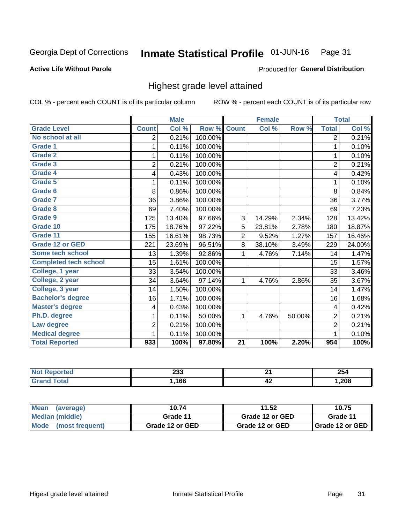#### Inmate Statistical Profile 01-JUN-16 Page 31

### **Active Life Without Parole**

### Produced for General Distribution

## Highest grade level attained

COL % - percent each COUNT is of its particular column

|                              |                          | <b>Male</b> |         |                 | <b>Female</b> |        |                | <b>Total</b> |
|------------------------------|--------------------------|-------------|---------|-----------------|---------------|--------|----------------|--------------|
| <b>Grade Level</b>           | <b>Count</b>             | Col %       | Row %   | <b>Count</b>    | Col %         | Row %  | <b>Total</b>   | Col %        |
| No school at all             | $\overline{2}$           | 0.21%       | 100.00% |                 |               |        | 2              | 0.21%        |
| <b>Grade 1</b>               | 1                        | 0.11%       | 100.00% |                 |               |        | 1              | 0.10%        |
| Grade 2                      | 1                        | 0.11%       | 100.00% |                 |               |        | $\mathbf{1}$   | 0.10%        |
| Grade 3                      | $\overline{2}$           | 0.21%       | 100.00% |                 |               |        | $\overline{2}$ | 0.21%        |
| Grade 4                      | 4                        | 0.43%       | 100.00% |                 |               |        | 4              | 0.42%        |
| Grade 5                      | 1                        | 0.11%       | 100.00% |                 |               |        | 1              | 0.10%        |
| Grade 6                      | 8                        | 0.86%       | 100.00% |                 |               |        | 8              | 0.84%        |
| <b>Grade 7</b>               | 36                       | 3.86%       | 100.00% |                 |               |        | 36             | 3.77%        |
| Grade 8                      | 69                       | 7.40%       | 100.00% |                 |               |        | 69             | 7.23%        |
| Grade 9                      | 125                      | 13.40%      | 97.66%  | 3               | 14.29%        | 2.34%  | 128            | 13.42%       |
| Grade 10                     | 175                      | 18.76%      | 97.22%  | 5               | 23.81%        | 2.78%  | 180            | 18.87%       |
| Grade 11                     | 155                      | 16.61%      | 98.73%  | $\overline{2}$  | 9.52%         | 1.27%  | 157            | 16.46%       |
| <b>Grade 12 or GED</b>       | 221                      | 23.69%      | 96.51%  | 8               | 38.10%        | 3.49%  | 229            | 24.00%       |
| <b>Some tech school</b>      | 13                       | 1.39%       | 92.86%  | 1               | 4.76%         | 7.14%  | 14             | 1.47%        |
| <b>Completed tech school</b> | 15                       | 1.61%       | 100.00% |                 |               |        | 15             | 1.57%        |
| College, 1 year              | 33                       | 3.54%       | 100.00% |                 |               |        | 33             | 3.46%        |
| College, 2 year              | 34                       | 3.64%       | 97.14%  | 1               | 4.76%         | 2.86%  | 35             | 3.67%        |
| College, 3 year              | 14                       | 1.50%       | 100.00% |                 |               |        | 14             | 1.47%        |
| <b>Bachelor's degree</b>     | 16                       | 1.71%       | 100.00% |                 |               |        | 16             | 1.68%        |
| <b>Master's degree</b>       | $\overline{\mathcal{A}}$ | 0.43%       | 100.00% |                 |               |        | 4              | 0.42%        |
| Ph.D. degree                 | 1                        | 0.11%       | 50.00%  | 1               | 4.76%         | 50.00% | $\overline{c}$ | 0.21%        |
| Law degree                   | 2                        | 0.21%       | 100.00% |                 |               |        | $\overline{2}$ | 0.21%        |
| <b>Medical degree</b>        | 1                        | 0.11%       | 100.00% |                 |               |        | 1              | 0.10%        |
| <b>Total Reported</b>        | 933                      | 100%        | 97.80%  | $\overline{21}$ | 100%          | 2.20%  | 954            | 100%         |

| <b>Not</b>  | ົາາາ | −.  | 254  |
|-------------|------|-----|------|
| Reported    | ∠ാാ  | - - |      |
| ota<br>Grat | .166 | 44  | ,208 |

| <b>Mean</b><br>(average)       | 10.74           | 11.52           | 10.75             |
|--------------------------------|-----------------|-----------------|-------------------|
| Median (middle)                | Grade 11        | Grade 12 or GED | Grade 11          |
| <b>Mode</b><br>(most frequent) | Grade 12 or GED | Grade 12 or GED | I Grade 12 or GED |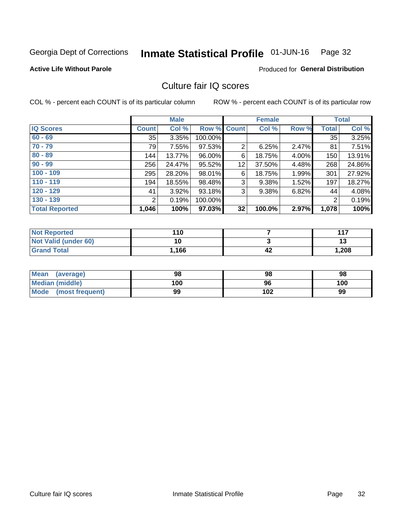#### Inmate Statistical Profile 01-JUN-16 Page 32

#### **Active Life Without Parole**

### Produced for General Distribution

## Culture fair IQ scores

COL % - percent each COUNT is of its particular column

|                       | <b>Male</b>  |        | <b>Female</b>      |                |        | <b>Total</b> |              |        |
|-----------------------|--------------|--------|--------------------|----------------|--------|--------------|--------------|--------|
| <b>IQ Scores</b>      | <b>Count</b> | Col %  | <b>Row % Count</b> |                | Col %  | Row %        | <b>Total</b> | Col %  |
| $60 - 69$             | 35           | 3.35%  | 100.00%            |                |        |              | 35           | 3.25%  |
| $70 - 79$             | 79           | 7.55%  | 97.53%             | $\overline{2}$ | 6.25%  | 2.47%        | 81           | 7.51%  |
| $80 - 89$             | 144          | 13.77% | 96.00%             | 6              | 18.75% | 4.00%        | 150          | 13.91% |
| $90 - 99$             | 256          | 24.47% | 95.52%             | 12             | 37.50% | 4.48%        | 268          | 24.86% |
| $100 - 109$           | 295          | 28.20% | 98.01%             | 6              | 18.75% | 1.99%        | 301          | 27.92% |
| $110 - 119$           | 194          | 18.55% | 98.48%             | 3              | 9.38%  | 1.52%        | 197          | 18.27% |
| $120 - 129$           | 41           | 3.92%  | 93.18%             | 3              | 9.38%  | 6.82%        | 44           | 4.08%  |
| $130 - 139$           | 2            | 0.19%  | 100.00%            |                |        |              | 2            | 0.19%  |
| <b>Total Reported</b> | 1,046        | 100%   | 97.03%             | 32             | 100.0% | 2.97%        | 1,078        | 100%   |

| <b>Not Reported</b>  | 110  |    | 117   |
|----------------------|------|----|-------|
| Not Valid (under 60) | 10   |    | IJ    |
| <b>Grand Total</b>   | .166 | 42 | 1,208 |

| <b>Mean</b><br>(average) | 98  | 98  | 98  |
|--------------------------|-----|-----|-----|
| Median (middle)          | 100 | 96  | 100 |
| Mode (most frequent)     | 99  | 102 | 99  |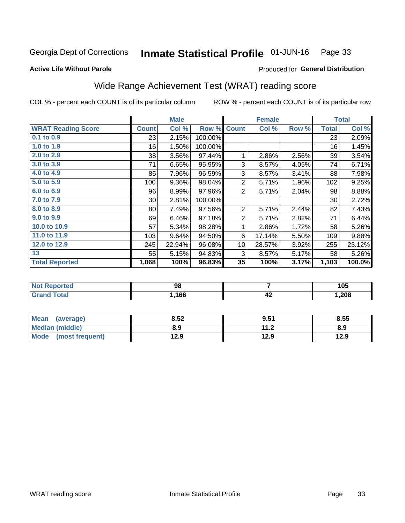#### Inmate Statistical Profile 01-JUN-16 Page 33

Produced for General Distribution

### **Active Life Without Parole**

## Wide Range Achievement Test (WRAT) reading score

COL % - percent each COUNT is of its particular column

|                           |                 | <b>Male</b> |         | <b>Female</b>  |        |       | <b>Total</b> |        |
|---------------------------|-----------------|-------------|---------|----------------|--------|-------|--------------|--------|
| <b>WRAT Reading Score</b> | <b>Count</b>    | Col %       | Row %   | <b>Count</b>   | Col %  | Row % | <b>Total</b> | Col %  |
| 0.1 to 0.9                | 23              | 2.15%       | 100.00% |                |        |       | 23           | 2.09%  |
| 1.0 to 1.9                | 16              | 1.50%       | 100.00% |                |        |       | 16           | 1.45%  |
| 2.0 to 2.9                | 38              | 3.56%       | 97.44%  | 1              | 2.86%  | 2.56% | 39           | 3.54%  |
| 3.0 to 3.9                | 71              | 6.65%       | 95.95%  | 3              | 8.57%  | 4.05% | 74           | 6.71%  |
| 4.0 to 4.9                | 85              | 7.96%       | 96.59%  | 3              | 8.57%  | 3.41% | 88           | 7.98%  |
| 5.0 to 5.9                | 100             | 9.36%       | 98.04%  | $\overline{c}$ | 5.71%  | 1.96% | 102          | 9.25%  |
| 6.0 to 6.9                | 96              | 8.99%       | 97.96%  | 2              | 5.71%  | 2.04% | 98           | 8.88%  |
| 7.0 to 7.9                | 30 <sup>°</sup> | 2.81%       | 100.00% |                |        |       | 30           | 2.72%  |
| 8.0 to 8.9                | 80              | 7.49%       | 97.56%  | $\overline{2}$ | 5.71%  | 2.44% | 82           | 7.43%  |
| 9.0 to 9.9                | 69              | 6.46%       | 97.18%  | $\overline{2}$ | 5.71%  | 2.82% | 71           | 6.44%  |
| 10.0 to 10.9              | 57              | 5.34%       | 98.28%  | 1              | 2.86%  | 1.72% | 58           | 5.26%  |
| 11.0 to 11.9              | 103             | 9.64%       | 94.50%  | 6              | 17.14% | 5.50% | 109          | 9.88%  |
| 12.0 to 12.9              | 245             | 22.94%      | 96.08%  | 10             | 28.57% | 3.92% | 255          | 23.12% |
| 13                        | 55              | 5.15%       | 94.83%  | 3              | 8.57%  | 5.17% | 58           | 5.26%  |
| <b>Total Reported</b>     | 1,068           | 100%        | 96.83%  | 35             | 100%   | 3.17% | 1,103        | 100.0% |

| <b>Not Reported</b>    | 98   |    | 105    |
|------------------------|------|----|--------|
| <b>Total</b><br>'Grand | ,166 | 42 | 208, ا |

| <b>Mean</b><br>(average) | 8.52 | 9.51                            | 8.55 |
|--------------------------|------|---------------------------------|------|
| Median (middle)          | 8.9  | 11 <sub>2</sub><br>$\mathbf{L}$ | 8.9  |
| Mode (most frequent)     | 12.9 | 12.9                            | 12.9 |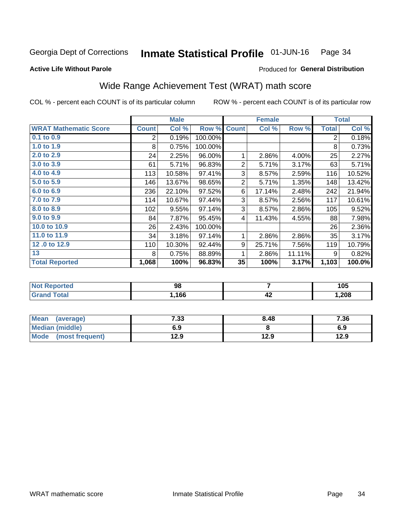#### Inmate Statistical Profile 01-JUN-16 Page 34

**Active Life Without Parole** 

#### Produced for General Distribution

## Wide Range Achievement Test (WRAT) math score

COL % - percent each COUNT is of its particular column

|                              | <b>Male</b>    |        |         |                | <b>Female</b> | <b>Total</b> |                |        |
|------------------------------|----------------|--------|---------|----------------|---------------|--------------|----------------|--------|
| <b>WRAT Mathematic Score</b> | <b>Count</b>   | Col %  | Row %   | <b>Count</b>   | Col %         | Row %        | <b>Total</b>   | Col %  |
| $0.1$ to $0.9$               | $\overline{2}$ | 0.19%  | 100.00% |                |               |              | $\overline{2}$ | 0.18%  |
| 1.0 to 1.9                   | 8              | 0.75%  | 100.00% |                |               |              | 8              | 0.73%  |
| 2.0 to 2.9                   | 24             | 2.25%  | 96.00%  | 1              | 2.86%         | 4.00%        | 25             | 2.27%  |
| 3.0 to 3.9                   | 61             | 5.71%  | 96.83%  | $\overline{2}$ | 5.71%         | 3.17%        | 63             | 5.71%  |
| 4.0 to 4.9                   | 113            | 10.58% | 97.41%  | 3              | 8.57%         | 2.59%        | 116            | 10.52% |
| 5.0 to 5.9                   | 146            | 13.67% | 98.65%  | $\overline{2}$ | 5.71%         | 1.35%        | 148            | 13.42% |
| 6.0 to 6.9                   | 236            | 22.10% | 97.52%  | 6              | 17.14%        | 2.48%        | 242            | 21.94% |
| 7.0 to 7.9                   | 114            | 10.67% | 97.44%  | 3              | 8.57%         | 2.56%        | 117            | 10.61% |
| 8.0 to 8.9                   | 102            | 9.55%  | 97.14%  | 3              | 8.57%         | 2.86%        | 105            | 9.52%  |
| 9.0 to 9.9                   | 84             | 7.87%  | 95.45%  | 4              | 11.43%        | 4.55%        | 88             | 7.98%  |
| 10.0 to 10.9                 | 26             | 2.43%  | 100.00% |                |               |              | 26             | 2.36%  |
| 11.0 to 11.9                 | 34             | 3.18%  | 97.14%  | 1              | 2.86%         | 2.86%        | 35             | 3.17%  |
| 12.0 to 12.9                 | 110            | 10.30% | 92.44%  | 9              | 25.71%        | 7.56%        | 119            | 10.79% |
| 13                           | 8              | 0.75%  | 88.89%  | 1              | 2.86%         | 11.11%       | 9              | 0.82%  |
| <b>Total Reported</b>        | 1,068          | 100%   | 96.83%  | 35             | 100%          | 3.17%        | 1,103          | 100.0% |

| <b>orted</b><br><b>NOT</b> | 98   |                    | 105  |
|----------------------------|------|--------------------|------|
|                            | ,166 | $\mathbf{r}$<br>44 | ,208 |

| Mean (average)         | 7.33 | 8.48 | 7.36 |
|------------------------|------|------|------|
| <b>Median (middle)</b> | 6.9  |      | 6.9  |
| Mode (most frequent)   | 12.9 | 12.9 | 12.9 |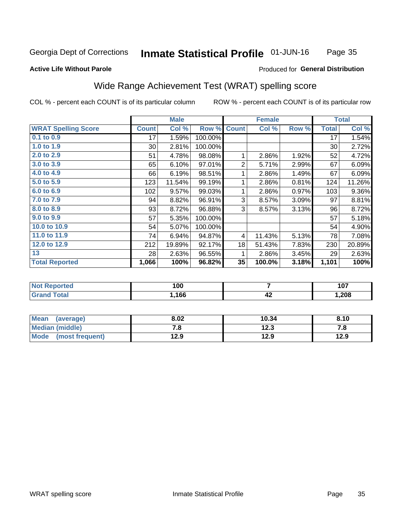#### Inmate Statistical Profile 01-JUN-16 Page 35

#### **Active Life Without Parole**

### Produced for General Distribution

## Wide Range Achievement Test (WRAT) spelling score

COL % - percent each COUNT is of its particular column

|                            | <b>Male</b>     |        | <b>Female</b> |                |        | <b>Total</b> |              |          |
|----------------------------|-----------------|--------|---------------|----------------|--------|--------------|--------------|----------|
| <b>WRAT Spelling Score</b> | <b>Count</b>    | Col %  | Row %         | <b>Count</b>   | Col %  | Row %        | <b>Total</b> | Col %    |
| $0.1$ to $0.9$             | 17              | 1.59%  | 100.00%       |                |        |              | 17           | 1.54%    |
| 1.0 to 1.9                 | 30 <sup>°</sup> | 2.81%  | 100.00%       |                |        |              | 30           | 2.72%    |
| 2.0 to 2.9                 | 51              | 4.78%  | 98.08%        | 1              | 2.86%  | 1.92%        | 52           | 4.72%    |
| 3.0 to 3.9                 | 65              | 6.10%  | 97.01%        | $\overline{2}$ | 5.71%  | 2.99%        | 67           | 6.09%    |
| 4.0 to 4.9                 | 66              | 6.19%  | 98.51%        | 1              | 2.86%  | 1.49%        | 67           | 6.09%    |
| 5.0 to 5.9                 | 123             | 11.54% | 99.19%        | 1              | 2.86%  | 0.81%        | 124          | 11.26%   |
| 6.0 to 6.9                 | 102             | 9.57%  | 99.03%        | 1              | 2.86%  | 0.97%        | 103          | $9.36\%$ |
| 7.0 to 7.9                 | 94              | 8.82%  | 96.91%        | 3              | 8.57%  | 3.09%        | 97           | 8.81%    |
| 8.0 to 8.9                 | 93              | 8.72%  | 96.88%        | 3              | 8.57%  | 3.13%        | 96           | 8.72%    |
| 9.0 to 9.9                 | 57              | 5.35%  | 100.00%       |                |        |              | 57           | 5.18%    |
| 10.0 to 10.9               | 54              | 5.07%  | 100.00%       |                |        |              | 54           | 4.90%    |
| 11.0 to 11.9               | 74              | 6.94%  | 94.87%        | 4              | 11.43% | 5.13%        | 78           | 7.08%    |
| 12.0 to 12.9               | 212             | 19.89% | 92.17%        | 18             | 51.43% | 7.83%        | 230          | 20.89%   |
| 13                         | 28              | 2.63%  | 96.55%        | 1              | 2.86%  | 3.45%        | 29           | 2.63%    |
| <b>Total Reported</b>      | 1,066           | 100%   | 96.82%        | 35             | 100.0% | 3.18%        | 1,101        | 100%     |

| <b>Not Reported</b> | 100  |    | 107    |
|---------------------|------|----|--------|
| <b>Total</b>        | ,166 | 46 | 208, ا |

| <b>Mean</b><br>(average) | 8.02 | 10.34 | 8.10 |
|--------------------------|------|-------|------|
| Median (middle)          | . о  | 12.3  | 7. O |
| Mode<br>(most frequent)  | 12.9 | 12.9  | 12.9 |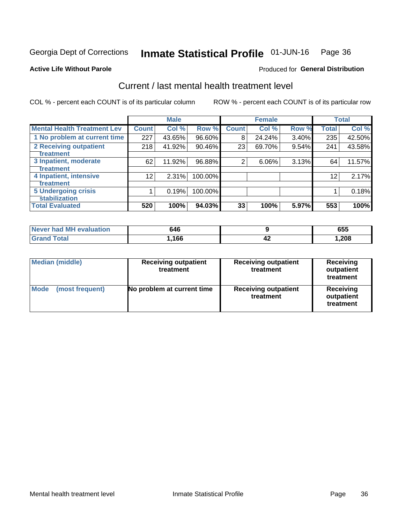#### Inmate Statistical Profile 01-JUN-16 Page 36

#### **Active Life Without Parole**

## **Produced for General Distribution**

## Current / last mental health treatment level

COL % - percent each COUNT is of its particular column

|                                    |                 | <b>Male</b> |         |              | <b>Female</b> |       |              | <b>Total</b> |
|------------------------------------|-----------------|-------------|---------|--------------|---------------|-------|--------------|--------------|
| <b>Mental Health Treatment Lev</b> | <b>Count</b>    | Col %       | Row %   | <b>Count</b> | Col %         | Row % | <b>Total</b> | Col %        |
| 1 No problem at current time       | 227             | 43.65%      | 96.60%  | 8            | 24.24%        | 3.40% | 235          | 42.50%       |
| 2 Receiving outpatient             | 218             | 41.92%      | 90.46%  | 23           | 69.70%        | 9.54% | 241          | 43.58%       |
| <b>Treatment</b>                   |                 |             |         |              |               |       |              |              |
| 3 Inpatient, moderate              | 62              | 11.92%      | 96.88%  | 2            | $6.06\%$      | 3.13% | 64           | 11.57%       |
| Treatment                          |                 |             |         |              |               |       |              |              |
| 4 Inpatient, intensive             | 12 <sub>1</sub> | 2.31%       | 100.00% |              |               |       | 12           | 2.17%        |
| <b>Treatment</b>                   |                 |             |         |              |               |       |              |              |
| <b>5 Undergoing crisis</b>         |                 | 0.19%       | 100.00% |              |               |       |              | 0.18%        |
| <b>stabilization</b>               |                 |             |         |              |               |       |              |              |
| <b>Total Evaluated</b>             | 520             | 100%        | 94.03%  | 33           | 100%          | 5.97% | 553          | 100%         |

| Never had MH<br>evaluation | 546  |     | <br>ບບປ |
|----------------------------|------|-----|---------|
|                            | ,166 | - 7 | ,208    |

| <b>Median (middle)</b>  | <b>Receiving outpatient</b><br>treatment | <b>Receiving outpatient</b><br>treatment | <b>Receiving</b><br>outpatient<br>treatment |  |
|-------------------------|------------------------------------------|------------------------------------------|---------------------------------------------|--|
| Mode<br>(most frequent) | No problem at current time               | <b>Receiving outpatient</b><br>treatment | <b>Receiving</b><br>outpatient<br>treatment |  |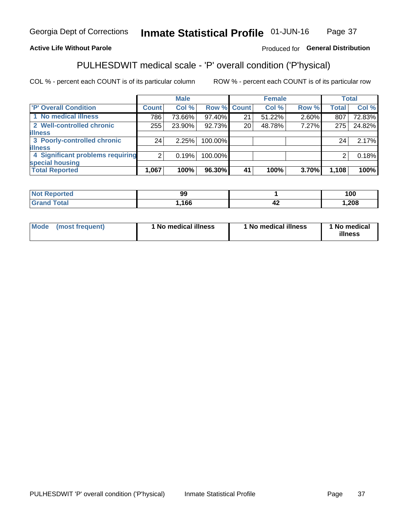#### **Inmate Statistical Profile 01-JUN-16** Page 37

## **Active Life Without Parole**

## Produced for General Distribution

## PULHESDWIT medical scale - 'P' overall condition ('P'hysical)

COL % - percent each COUNT is of its particular column

|                                  |                | <b>Male</b> |             |    | <b>Female</b> |       |              | <b>Total</b> |
|----------------------------------|----------------|-------------|-------------|----|---------------|-------|--------------|--------------|
| 'P' Overall Condition            | Count l        | Col %       | Row % Count |    | Col %         | Row % | <b>Total</b> | Col %        |
| 1 No medical illness             | 786            | 73.66%      | 97.40%      | 21 | 51.22%        | 2.60% | 807          | 72.83%       |
| 2 Well-controlled chronic        | 255            | 23.90%      | 92.73%      | 20 | 48.78%        | 7.27% | 275          | 24.82%       |
| <b>illness</b>                   |                |             |             |    |               |       |              |              |
| 3 Poorly-controlled chronic      | 24             | 2.25%       | 100.00%     |    |               |       | 24           | 2.17%        |
| <b>illness</b>                   |                |             |             |    |               |       |              |              |
| 4 Significant problems requiring | 2 <sub>1</sub> | 0.19%       | 100.00%     |    |               |       | 2            | 0.18%        |
| special housing                  |                |             |             |    |               |       |              |              |
| <b>Total Reported</b>            | 1,067          | 100%        | 96.30%      | 41 | 100%          | 3.70% | 1,108        | 100%         |

| .                           | 99  |      | 100 |
|-----------------------------|-----|------|-----|
| $\sim$ $\sim$ $\sim$ $\sim$ | 166 | - 74 | 208 |

| <b>Mode</b> | (most frequent) | ' No medical illness | 1 No medical illness | 1 No medical<br>illness |
|-------------|-----------------|----------------------|----------------------|-------------------------|
|-------------|-----------------|----------------------|----------------------|-------------------------|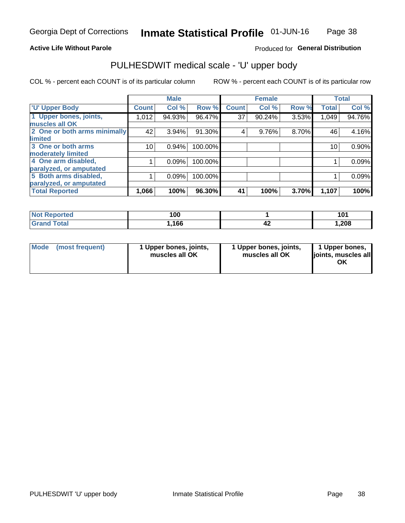### **Active Life Without Parole**

## Produced for General Distribution

## PULHESDWIT medical scale - 'U' upper body

COL % - percent each COUNT is of its particular column

|                              |              | <b>Male</b> |         |              | <b>Female</b> |       |              | <b>Total</b> |
|------------------------------|--------------|-------------|---------|--------------|---------------|-------|--------------|--------------|
| <b>'U' Upper Body</b>        | <b>Count</b> | Col %       | Row %   | <b>Count</b> | Col %         | Row % | <b>Total</b> | Col %        |
| 1 Upper bones, joints,       | 1,012        | 94.93%      | 96.47%  | 37           | 90.24%        | 3.53% | 1,049        | 94.76%       |
| muscles all OK               |              |             |         |              |               |       |              |              |
| 2 One or both arms minimally | 42           | 3.94%       | 91.30%  | 4            | 9.76%         | 8.70% | 46           | 4.16%        |
| limited                      |              |             |         |              |               |       |              |              |
| 3 One or both arms           | 10           | 0.94%       | 100.00% |              |               |       | 10           | 0.90%        |
| moderately limited           |              |             |         |              |               |       |              |              |
| 4 One arm disabled,          |              | 0.09%       | 100.00% |              |               |       |              | 0.09%        |
| paralyzed, or amputated      |              |             |         |              |               |       |              |              |
| 5 Both arms disabled,        |              | 0.09%       | 100.00% |              |               |       |              | 0.09%        |
| paralyzed, or amputated      |              |             |         |              |               |       |              |              |
| <b>Total Reported</b>        | 1,066        | 100%        | 96.30%  | 41           | 100%          | 3.70% | 1,107        | 100%         |

| <b>Not Reported</b>          | 100   |     |        |
|------------------------------|-------|-----|--------|
| <b>Total</b><br><b>Grand</b> | 1,166 | - - | 208, ، |

| Mode (most frequent) | 1 Upper bones, joints,<br>muscles all OK | 1 Upper bones, joints,<br>muscles all OK | 1 Upper bones,<br>joints, muscles all<br>ΟK |
|----------------------|------------------------------------------|------------------------------------------|---------------------------------------------|
|----------------------|------------------------------------------|------------------------------------------|---------------------------------------------|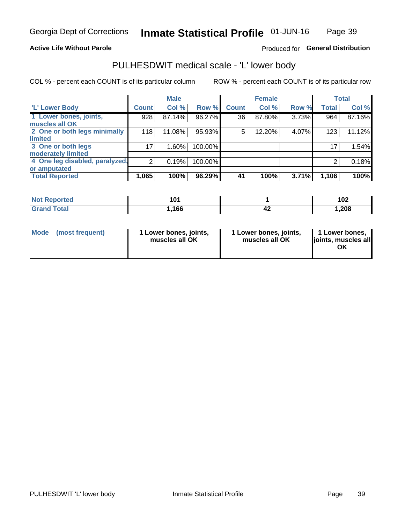### **Active Life Without Parole**

## Produced for General Distribution

## PULHESDWIT medical scale - 'L' lower body

COL % - percent each COUNT is of its particular column

|                                | <b>Male</b>     |          | <b>Female</b> |              |        | <b>Total</b> |              |        |
|--------------------------------|-----------------|----------|---------------|--------------|--------|--------------|--------------|--------|
| 'L' Lower Body                 | <b>Count</b>    | Col %    | Row %         | <b>Count</b> | Col %  | Row %        | <b>Total</b> | Col %  |
| 1 Lower bones, joints,         | 928             | 87.14%   | 96.27%        | 36           | 87.80% | 3.73%        | 964          | 87.16% |
| muscles all OK                 |                 |          |               |              |        |              |              |        |
| 2 One or both legs minimally   | 118             | 11.08%   | 95.93%        | 5            | 12.20% | 4.07%        | 123          | 11.12% |
| limited                        |                 |          |               |              |        |              |              |        |
| 3 One or both legs             | 17 <sub>1</sub> | $1.60\%$ | 100.00%       |              |        |              | 17           | 1.54%  |
| moderately limited             |                 |          |               |              |        |              |              |        |
| 4 One leg disabled, paralyzed, | $\overline{2}$  | 0.19%    | 100.00%       |              |        |              | 2            | 0.18%  |
| or amputated                   |                 |          |               |              |        |              |              |        |
| <b>Total Reported</b>          | 1,065           | 100%     | 96.29%        | 41           | 100%   | 3.71%        | 1,106        | 100%   |

| <b>Not Reported</b>    | 1 N 4<br>ו שו |     | 10 <sup>c</sup><br>I VZ |
|------------------------|---------------|-----|-------------------------|
| <b>Total</b><br>. Grar | ,166          | - 4 | 208, ا                  |

| Mode | (most frequent) | 1 Lower bones, joints,<br>muscles all OK | 1 Lower bones, joints,<br>muscles all OK | 1 Lower bones,<br>ljoints, muscles all<br>ΟK |
|------|-----------------|------------------------------------------|------------------------------------------|----------------------------------------------|
|------|-----------------|------------------------------------------|------------------------------------------|----------------------------------------------|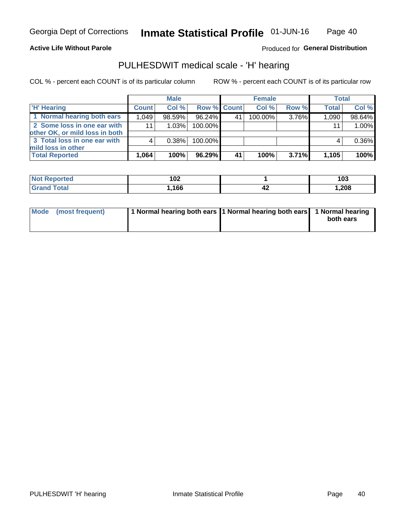### **Active Life Without Parole**

Produced for General Distribution

## PULHESDWIT medical scale - 'H' hearing

COL % - percent each COUNT is of its particular column

|                                                               |              | <b>Male</b> |             |    | <b>Female</b> |          | <b>Total</b> |        |
|---------------------------------------------------------------|--------------|-------------|-------------|----|---------------|----------|--------------|--------|
| <b>H'</b> Hearing                                             | <b>Count</b> | Col %       | Row % Count |    | Col%          | Row %    | <b>Total</b> | Col %  |
| 1 Normal hearing both ears                                    | 1.049        | 98.59%      | 96.24%      | 41 | $100.00\%$    | 3.76%    | 1,090        | 98.64% |
| 2 Some loss in one ear with<br>other OK, or mild loss in both | 11           | 1.03%       | 100.00%     |    |               |          | 11           | 1.00%  |
| 3 Total loss in one ear with                                  | 4            | 0.38%       | 100.00%     |    |               |          | 4            | 0.36%  |
| mild loss in other<br><b>Total Reported</b>                   | 1,064        | 100%        | 96.29%      | 41 | 100%          | $3.71\%$ | 1,105        | 100%   |

| <b>Not</b><br>Reported | 102   |      | 103  |
|------------------------|-------|------|------|
| <b>otal</b>            | 1,166 | - 74 | ,208 |

| Mode (most frequent) | 1 Normal hearing both ears 1 Normal hearing both ears 1 Normal hearing |           |
|----------------------|------------------------------------------------------------------------|-----------|
|                      |                                                                        | both ears |
|                      |                                                                        |           |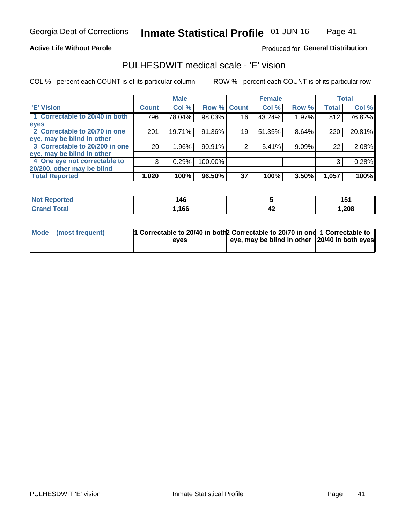### **Active Life Without Parole**

## Produced for General Distribution

## PULHESDWIT medical scale - 'E' vision

COL % - percent each COUNT is of its particular column

|                                |                 | <b>Male</b> |             |    | <b>Female</b> |       |              | <b>Total</b> |
|--------------------------------|-----------------|-------------|-------------|----|---------------|-------|--------------|--------------|
| <b>E' Vision</b>               | <b>Count</b>    | Col %       | Row % Count |    | Col %         | Row % | <b>Total</b> | Col %        |
| 1 Correctable to 20/40 in both | 796             | 78.04%      | 98.03%      | 16 | 43.24%        | 1.97% | 812          | 76.82%       |
| eyes                           |                 |             |             |    |               |       |              |              |
| 2 Correctable to 20/70 in one  | 201             | 19.71%      | 91.36%      | 19 | 51.35%        | 8.64% | 220          | 20.81%       |
| eye, may be blind in other     |                 |             |             |    |               |       |              |              |
| 3 Correctable to 20/200 in one | 20 <sub>1</sub> | $1.96\%$    | 90.91%      |    | 5.41%         | 9.09% | 22           | 2.08%        |
| eye, may be blind in other     |                 |             |             |    |               |       |              |              |
| 4 One eye not correctable to   | 3               | 0.29%       | 100.00%     |    |               |       | 3            | 0.28%        |
| 20/200, other may be blind     |                 |             |             |    |               |       |              |              |
| <b>Total Reported</b>          | 1,020           | 100%        | 96.50%      | 37 | 100%          | 3.50% | 1,057        | 100%         |

| <b>Not Reported</b>          | 146  |    | 4 E 4<br>ושו |
|------------------------------|------|----|--------------|
| <b>Total</b><br><b>Grand</b> | ,166 | 44 | .208         |

| Mode (most frequent) | 1 Correctable to 20/40 in both 2 Correctable to 20/70 in one 1 Correctable to<br>eves | eye, may be blind in other 20/40 in both eyes |  |
|----------------------|---------------------------------------------------------------------------------------|-----------------------------------------------|--|
|                      |                                                                                       |                                               |  |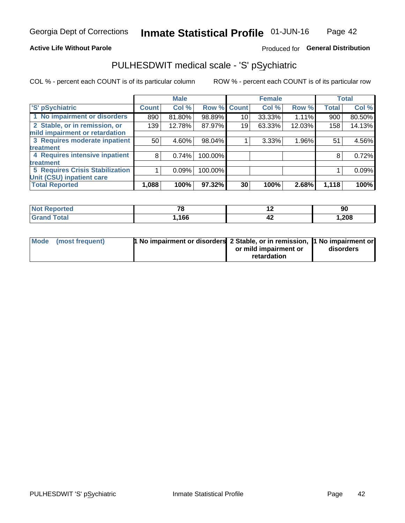### **Active Life Without Parole**

## Produced for General Distribution

## PULHESDWIT medical scale - 'S' pSychiatric

COL % - percent each COUNT is of its particular column

|                                        |              | <b>Male</b> |         |             | <b>Female</b> |        |              | <b>Total</b> |
|----------------------------------------|--------------|-------------|---------|-------------|---------------|--------|--------------|--------------|
| 'S' pSychiatric                        | <b>Count</b> | Col %       |         | Row % Count | Col %         | Row %  | <b>Total</b> | Col %        |
| 1 No impairment or disorders           | 890          | 81.80%      | 98.89%  | 10          | 33.33%        | 1.11%  | 900          | 80.50%       |
| 2 Stable, or in remission, or          | 139          | 12.78%      | 87.97%  | 19          | 63.33%        | 12.03% | 158          | 14.13%       |
| mild impairment or retardation         |              |             |         |             |               |        |              |              |
| 3 Requires moderate inpatient          | 50           | 4.60%       | 98.04%  |             | 3.33%         | 1.96%  | 51           | 4.56%        |
| treatment                              |              |             |         |             |               |        |              |              |
| 4 Requires intensive inpatient         | 8            | 0.74%       | 100.00% |             |               |        | 8            | 0.72%        |
| treatment                              |              |             |         |             |               |        |              |              |
| <b>5 Requires Crisis Stabilization</b> |              | 0.09%       | 100.00% |             |               |        |              | 0.09%        |
| Unit (CSU) inpatient care              |              |             |         |             |               |        |              |              |
| <b>Total Reported</b>                  | 1,088        | 100%        | 97.32%  | 30          | 100%          | 2.68%  | 1,118        | 100%         |

| <b>Not Reported</b>    | $\overline{\phantom{a}}$ | . . | 90    |
|------------------------|--------------------------|-----|-------|
| <b>Total</b><br>'Grand | ,166                     | 44  | 1,208 |

| Mode (most frequent) | <b>1 No impairment or disorders 2 Stable, or in remission, 1 No impairment or</b> |                       |           |
|----------------------|-----------------------------------------------------------------------------------|-----------------------|-----------|
|                      |                                                                                   | or mild impairment or | disorders |
|                      |                                                                                   | retardation           |           |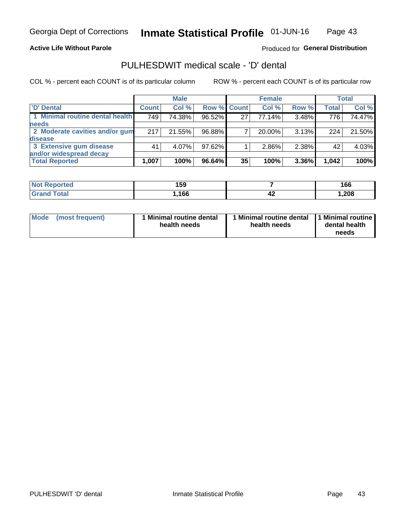### **Active Life Without Parole**

## Produced for General Distribution

## PULHESDWIT medical scale - 'D' dental

COL % - percent each COUNT is of its particular column

|                                 |              | <b>Male</b> |                    |    | <b>Female</b> |       |              | Total  |
|---------------------------------|--------------|-------------|--------------------|----|---------------|-------|--------------|--------|
| 'D' Dental                      | <b>Count</b> | Col %       | <b>Row % Count</b> |    | Col %         | Row % | <b>Total</b> | Col %  |
| 1 Minimal routine dental health | 749          | 74.38%      | 96.52%             | 27 | 77.14%        | 3.48% | 776          | 74.47% |
| <b>needs</b>                    |              |             |                    |    |               |       |              |        |
| 2 Moderate cavities and/or gum  | 217          | 21.55%      | 96.88%             |    | 20.00%        | 3.13% | 224          | 21.50% |
| <b>disease</b>                  |              |             |                    |    |               |       |              |        |
| 3 Extensive gum disease         | 41           | 4.07%       | 97.62%             |    | 2.86%         | 2.38% | 42           | 4.03%  |
| and/or widespread decay         |              |             |                    |    |               |       |              |        |
| <b>Total Reported</b>           | 1,007        | 100%        | 96.64%             | 35 | 100%          | 3.36% | 1,042        | 100%   |

| prtea<br>NOT F<br> | 159  |    | 166    |
|--------------------|------|----|--------|
| Tota               | .166 | 44 | 208, ، |

| <b>Mode</b>     | Minimal routine dental | Minimal routine dental 11 Minimal routine | dental health |
|-----------------|------------------------|-------------------------------------------|---------------|
| (most frequent) | health needs           | health needs                              | needs         |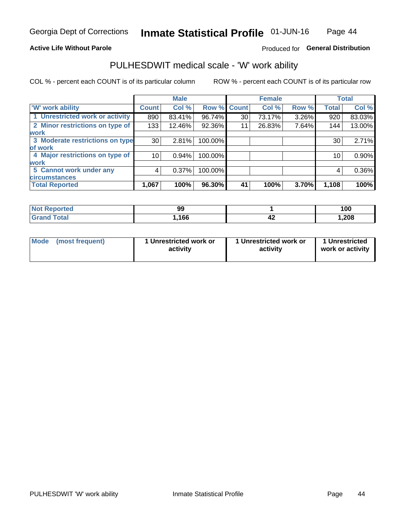### **Active Life Without Parole**

## Produced for General Distribution

## PULHESDWIT medical scale - 'W' work ability

COL % - percent each COUNT is of its particular column

|                                 |              | <b>Male</b> |         |             | <b>Female</b> |       |              | <b>Total</b> |
|---------------------------------|--------------|-------------|---------|-------------|---------------|-------|--------------|--------------|
| <b>W' work ability</b>          | <b>Count</b> | Col %       |         | Row % Count | Col %         | Row % | <b>Total</b> | Col %        |
| 1 Unrestricted work or activity | 890          | 83.41%      | 96.74%  | 30          | 73.17%        | 3.26% | 920          | 83.03%       |
| 2 Minor restrictions on type of | 133          | 12.46%      | 92.36%  | 11          | 26.83%        | 7.64% | 144          | 13.00%       |
| <b>work</b>                     |              |             |         |             |               |       |              |              |
| 3 Moderate restrictions on type | 30           | 2.81%       | 100.00% |             |               |       | 30           | 2.71%        |
| lof work                        |              |             |         |             |               |       |              |              |
| 4 Major restrictions on type of | 10           | 0.94%       | 100.00% |             |               |       | 10           | 0.90%        |
| <b>work</b>                     |              |             |         |             |               |       |              |              |
| 5 Cannot work under any         | 4            | 0.37%       | 100.00% |             |               |       | 4            | 0.36%        |
| <b>circumstances</b>            |              |             |         |             |               |       |              |              |
| <b>Total Reported</b>           | 1,067        | 100%        | 96.30%  | 41          | 100%          | 3.70% | 1,108        | 100%         |

| <b>Not Reported</b>     | 99   |      | 100    |
|-------------------------|------|------|--------|
| <b>Total</b><br>' Grand | 166, | - 74 | 208, ، |

| <b>Mode</b>     | 1 Unrestricted work or | 1 Unrestricted work or | 1 Unrestricted   |
|-----------------|------------------------|------------------------|------------------|
| (most frequent) | activity               | activity               | work or activity |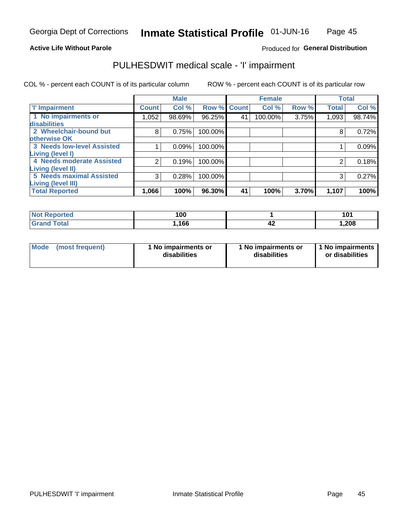### **Active Life Without Parole**

## Produced for General Distribution

## PULHESDWIT medical scale - 'I' impairment

COL % - percent each COUNT is of its particular column ROW % - percent each COUNT is of its particular row

|                                   |              | <b>Male</b> |             |    | <b>Female</b> |       |              | <b>Total</b> |
|-----------------------------------|--------------|-------------|-------------|----|---------------|-------|--------------|--------------|
| <b>T' Impairment</b>              | <b>Count</b> | Col %       | Row % Count |    | Col %         | Row % | <b>Total</b> | Col %        |
| 1 No impairments or               | 1,052        | 98.69%      | 96.25%      | 41 | 100.00%       | 3.75% | 1,093        | 98.74%       |
| disabilities                      |              |             |             |    |               |       |              |              |
| 2 Wheelchair-bound but            | 8            | 0.75%       | 100.00%     |    |               |       | 8            | 0.72%        |
| otherwise OK                      |              |             |             |    |               |       |              |              |
| <b>3 Needs low-level Assisted</b> |              | 0.09%       | 100.00%     |    |               |       |              | 0.09%        |
| Living (level I)                  |              |             |             |    |               |       |              |              |
| 4 Needs moderate Assisted         |              | 0.19%       | 100.00%     |    |               |       |              | 0.18%        |
| Living (level II)                 |              |             |             |    |               |       |              |              |
| <b>5 Needs maximal Assisted</b>   | 3            | 0.28%       | 100.00%     |    |               |       | 3            | 0.27%        |
| Living (level III)                |              |             |             |    |               |       |              |              |
| <b>Total Reported</b>             | 1,066        | 100%        | 96.30%      | 41 | 100%          | 3.70% | 1,107        | 100%         |

| المنصلة متناسب<br>meo | 100  |    | 101   |
|-----------------------|------|----|-------|
| <b>fotal</b>          | ,166 | ~∼ | 1,208 |

| Mode | (most frequent) | 1 No impairments or<br>disabilities | 1 No impairments or<br>disabilities | 1 No impairments<br>or disabilities |
|------|-----------------|-------------------------------------|-------------------------------------|-------------------------------------|
|------|-----------------|-------------------------------------|-------------------------------------|-------------------------------------|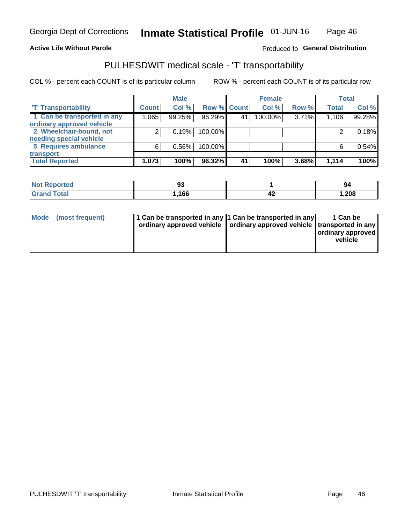### **Active Life Without Parole**

### Produced fo General Distribution

## PULHESDWIT medical scale - 'T' transportability

COL % - percent each COUNT is of its particular column

|                             |              | <b>Male</b> |             |    | <b>Female</b> |       |              | <b>Total</b> |
|-----------------------------|--------------|-------------|-------------|----|---------------|-------|--------------|--------------|
| <b>T' Transportability</b>  | <b>Count</b> | Col %       | Row % Count |    | Col %         | Row % | <b>Total</b> | Col %        |
| 1 Can be transported in any | 1.065        | 99.25%      | 96.29%      | 41 | 100.00%       | 3.71% | 1,106        | 99.28%       |
| ordinary approved vehicle   |              |             |             |    |               |       |              |              |
| 2 Wheelchair-bound, not     |              | 0.19%       | 100.00%     |    |               |       |              | 0.18%        |
| needing special vehicle     |              |             |             |    |               |       |              |              |
| 5 Requires ambulance        | 6            | 0.56%       | 100.00%     |    |               |       |              | 0.54%        |
| transport                   |              |             |             |    |               |       |              |              |
| <b>Total Reported</b>       | 1,073        | 100%        | 96.32%      | 41 | 100%          | 3.68% | 1,114        | 100%         |

| тео | ວບ   |    | 94    |
|-----|------|----|-------|
|     | ,166 | т. | 1,208 |

| Mode (most frequent) | 1 Can be transported in any 1 Can be transported in any | ordinary approved vehicle   ordinary approved vehicle   transported in any | 1 Can be<br>ordinary approved<br>vehicle |
|----------------------|---------------------------------------------------------|----------------------------------------------------------------------------|------------------------------------------|
|                      |                                                         |                                                                            |                                          |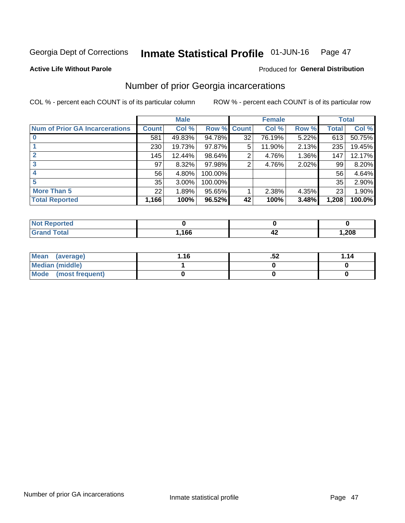#### Inmate Statistical Profile 01-JUN-16 Page 47

**Active Life Without Parole** 

### Produced for General Distribution

## Number of prior Georgia incarcerations

COL % - percent each COUNT is of its particular column

|                                       |              | <b>Male</b> |                    |    | <b>Female</b> |       |       | <b>Total</b> |
|---------------------------------------|--------------|-------------|--------------------|----|---------------|-------|-------|--------------|
| <b>Num of Prior GA Incarcerations</b> | <b>Count</b> | Col %       | <b>Row % Count</b> |    | Col %         | Row % | Total | Col %        |
|                                       | 581          | 49.83%      | 94.78%             | 32 | 76.19%        | 5.22% | 613   | 50.75%       |
|                                       | 230          | 19.73%      | 97.87%             | 5  | 11.90%        | 2.13% | 235   | 19.45%       |
|                                       | 145          | 12.44%      | 98.64%             | 2  | 4.76%         | 1.36% | 147   | 12.17%       |
| 3                                     | 97           | 8.32%       | 97.98%             | 2  | 4.76%         | 2.02% | 99    | 8.20%        |
|                                       | 56           | 4.80%       | 100.00%            |    |               |       | 56    | 4.64%        |
| 5                                     | 35           | 3.00%       | 100.00%            |    |               |       | 35    | 2.90%        |
| <b>More Than 5</b>                    | 22           | 1.89%       | 95.65%             |    | 2.38%         | 4.35% | 23    | 1.90%        |
| <b>Total Reported</b>                 | 1,166        | 100%        | 96.52%             | 42 | 100%          | 3.48% | 1,208 | 100.0%       |

| orted<br><b>NI</b>               |      |     |      |
|----------------------------------|------|-----|------|
| <b>Total</b><br>$\mathbf{v}$ and | ,166 | -74 | ,208 |

| Mean (average)       | 1.16 | .oz | 1.14 |
|----------------------|------|-----|------|
| Median (middle)      |      |     |      |
| Mode (most frequent) |      |     |      |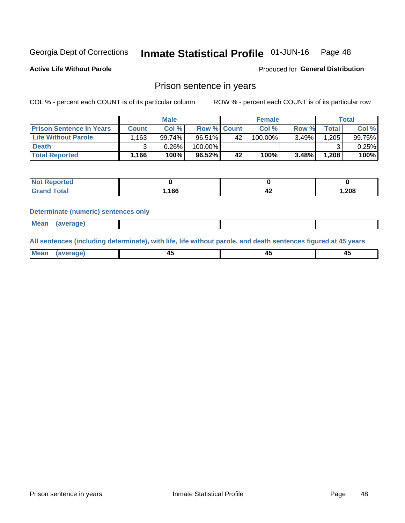#### Inmate Statistical Profile 01-JUN-16 Page 48

**Active Life Without Parole** 

Produced for General Distribution

## Prison sentence in years

COL % - percent each COUNT is of its particular column

ROW % - percent each COUNT is of its particular row

|                                 |        | <b>Male</b> |         |                    | <b>Female</b> |       |       | Total           |
|---------------------------------|--------|-------------|---------|--------------------|---------------|-------|-------|-----------------|
| <b>Prison Sentence In Years</b> | Count  | Col %       |         | <b>Row % Count</b> | Col %         | Row % | Total | Col %           |
| <b>Life Without Parole</b>      | .163   | 99.74%      | 96.51%  | 42                 | $100.00\%$    | 3.49% | 1.205 | 99.75% <b>I</b> |
| <b>Death</b>                    |        | 0.26%       | 100.00% |                    |               |       |       | 0.25%           |
| <b>Total Reported</b>           | 1,166' | 100%        | 96.52%  | 42                 | 100%          | 3.48% | 1,208 | 100%            |

| ported      |      |       |
|-------------|------|-------|
| <b>otal</b> | .166 | 1,208 |

#### **Determinate (numeric) sentences only**

| 1112211 | <b>Mean</b> | Ane <sup>*</sup> |  |  |
|---------|-------------|------------------|--|--|

All sentences (including determinate), with life, life without parole, and death sentences figured at 45 years

| l Mea<br>'ЯМА<br>.<br> | ᠇<br>$\sim$ | $\sim$ |  |
|------------------------|-------------|--------|--|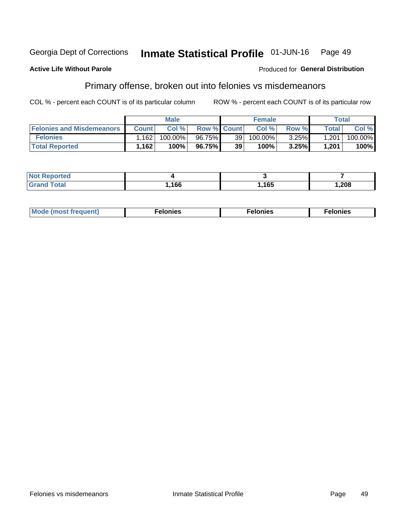#### Georgia Dept of Corrections Inmate Statistical Profile 01-JUN-16 Page 49

#### **Active Life Without Parole**

#### Produced for General Distribution

## Primary offense, broken out into felonies vs misdemeanors

COL % - percent each COUNT is of its particular column

|                                  |              | <b>Male</b> |                    |    | <b>Female</b> |       |              | Total   |
|----------------------------------|--------------|-------------|--------------------|----|---------------|-------|--------------|---------|
| <b>Felonies and Misdemeanors</b> | <b>Count</b> | Col%        | <b>Row % Count</b> |    | Col%          | Row % | <b>Total</b> | Col %   |
| <b>Felonies</b>                  | .162         | 100.00%     | 96.75%             | 39 | 100.00%       | 3.25% | 1,201        | 100.00% |
| <b>Total Reported</b>            | .162         | 100%        | 96.75%             | 39 | 100%          | 3.25% | 1.201        | 100%    |

| <b>Not Reported</b>   |      |      |      |
|-----------------------|------|------|------|
| Total<br><b>Grand</b> | ,166 | ,165 | ,208 |

| <b>Mode</b><br>frequent)<br>nies<br>≧ (most tr.<br>. | onies<br>. | lonies<br>ею<br>____ |
|------------------------------------------------------|------------|----------------------|
|------------------------------------------------------|------------|----------------------|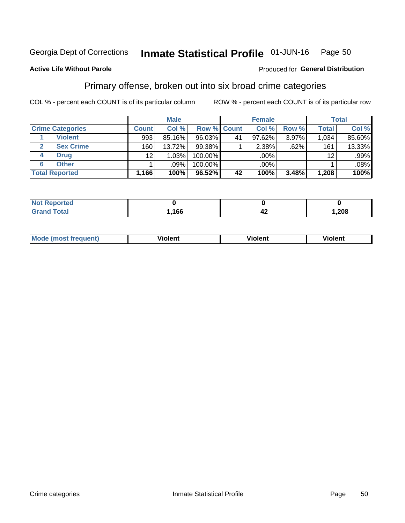#### Inmate Statistical Profile 01-JUN-16 Page 50

### **Active Life Without Parole**

### Produced for General Distribution

## Primary offense, broken out into six broad crime categories

COL % - percent each COUNT is of its particular column

|                         |                  | <b>Male</b> |           |             | <b>Female</b> |       |                 | <b>Total</b> |
|-------------------------|------------------|-------------|-----------|-------------|---------------|-------|-----------------|--------------|
| <b>Crime Categories</b> | <b>Count</b>     | Col %       |           | Row % Count | Col %         | Row % | <b>Total</b>    | Col %        |
| <b>Violent</b>          | 993              | 85.16%      | 96.03%    | 41          | $97.62\%$     | 3.97% | 1,034           | 85.60%       |
| <b>Sex Crime</b>        | 160 <sub>1</sub> | 13.72%      | 99.38%    |             | 2.38%         | .62%  | 161             | 13.33%       |
| <b>Drug</b><br>4        | 12               | 1.03%       | 100.00%   |             | .00%          |       | 12 <sup>2</sup> | .99%         |
| <b>Other</b><br>6       |                  | .09%        | 100.00%   |             | .00%          |       |                 | $.08\%$      |
| <b>Total Reported</b>   | 1,166            | 100%        | $96.52\%$ | 42          | 100%          | 3.48% | 1,208           | 100%         |

| <b>Not Repo</b><br>المتحافظ<br>ortea |      |       |      |  |
|--------------------------------------|------|-------|------|--|
| $T0+0'$                              | ,166 | - - - | ,208 |  |

| <b>Mode (most frequent)</b> | <br>'iolent | Violent | --<br><b>Violent</b> |
|-----------------------------|-------------|---------|----------------------|
|                             |             |         |                      |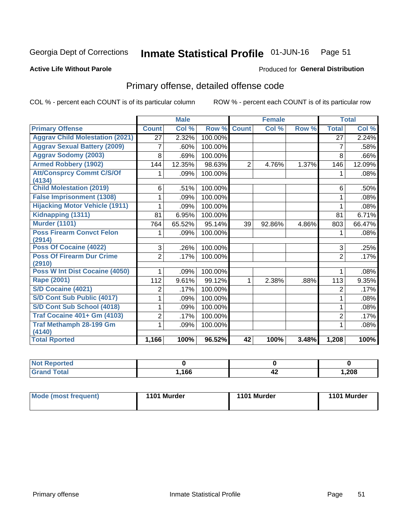#### Inmate Statistical Profile 01-JUN-16 Page 51

### **Active Life Without Parole**

## Produced for General Distribution

## Primary offense, detailed offense code

COL % - percent each COUNT is of its particular column

|                                            |                | <b>Male</b>                |         |                 | <b>Female</b> |       |                | <b>Total</b> |
|--------------------------------------------|----------------|----------------------------|---------|-----------------|---------------|-------|----------------|--------------|
| <b>Primary Offense</b>                     | <b>Count</b>   | $\overline{\text{Col }^9}$ | Row %   | <b>Count</b>    | Col %         | Row % | <b>Total</b>   | Col %        |
| <b>Aggrav Child Molestation (2021)</b>     | 27             | 2.32%                      | 100.00% |                 |               |       | 27             | 2.24%        |
| <b>Aggrav Sexual Battery (2009)</b>        | 7              | .60%                       | 100.00% |                 |               |       | 7              | .58%         |
| <b>Aggrav Sodomy (2003)</b>                | 8              | .69%                       | 100.00% |                 |               |       | 8              | .66%         |
| <b>Armed Robbery (1902)</b>                | 144            | 12.35%                     | 98.63%  | $\overline{2}$  | 4.76%         | 1.37% | 146            | 12.09%       |
| <b>Att/Consprcy Commt C/S/Of</b><br>(4134) |                | .09%                       | 100.00% |                 |               |       |                | .08%         |
| <b>Child Molestation (2019)</b>            | 6              | .51%                       | 100.00% |                 |               |       | 6              | .50%         |
| <b>False Imprisonment (1308)</b>           |                | .09%                       | 100.00% |                 |               |       | 1              | .08%         |
| <b>Hijacking Motor Vehicle (1911)</b>      |                | .09%                       | 100.00% |                 |               |       | 1              | .08%         |
| Kidnapping (1311)                          | 81             | 6.95%                      | 100.00% |                 |               |       | 81             | 6.71%        |
| <b>Murder (1101)</b>                       | 764            | 65.52%                     | 95.14%  | 39              | 92.86%        | 4.86% | 803            | 66.47%       |
| <b>Poss Firearm Convct Felon</b><br>(2914) | 1              | .09%                       | 100.00% |                 |               |       | 1              | .08%         |
| Poss Of Cocaine (4022)                     | 3              | .26%                       | 100.00% |                 |               |       | 3              | .25%         |
| <b>Poss Of Firearm Dur Crime</b><br>(2910) | $\overline{2}$ | .17%                       | 100.00% |                 |               |       | $\overline{2}$ | .17%         |
| Poss W Int Dist Cocaine (4050)             |                | .09%                       | 100.00% |                 |               |       | 1              | .08%         |
| <b>Rape (2001)</b>                         | 112            | 9.61%                      | 99.12%  | 1               | 2.38%         | .88%  | 113            | 9.35%        |
| S/D Cocaine (4021)                         | 2              | .17%                       | 100.00% |                 |               |       | $\overline{2}$ | .17%         |
| S/D Cont Sub Public (4017)                 |                | .09%                       | 100.00% |                 |               |       | 1              | .08%         |
| S/D Cont Sub School (4018)                 |                | .09%                       | 100.00% |                 |               |       | 1              | .08%         |
| <b>Traf Cocaine 401+ Gm (4103)</b>         | 2              | .17%                       | 100.00% |                 |               |       | $\overline{2}$ | .17%         |
| <b>Traf Methamph 28-199 Gm</b>             | 1              | .09%                       | 100.00% |                 |               |       | 1              | $.08\%$      |
| (4140)                                     |                |                            |         |                 |               |       |                |              |
| <b>Total Rported</b>                       | 1,166          | 100%                       | 96.52%  | $\overline{42}$ | 100%          | 3.48% | 1,208          | 100%         |

| neo |      |    |        |
|-----|------|----|--------|
|     | ,166 | 44 | 208, ا |

| Mode (most frequent) | 1101 Murder | 1101 Murder | 1101 Murder |
|----------------------|-------------|-------------|-------------|
|                      |             |             |             |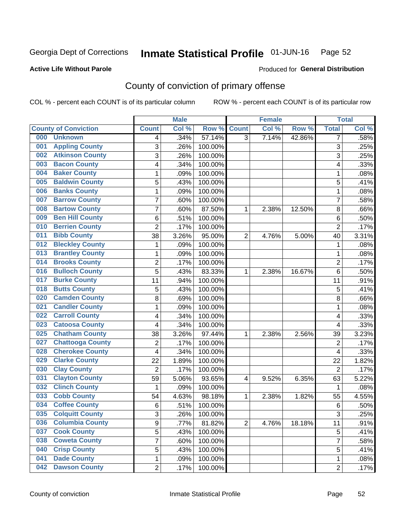#### Inmate Statistical Profile 01-JUN-16 Page 52

### **Active Life Without Parole**

### Produced for General Distribution

## County of conviction of primary offense

COL % - percent each COUNT is of its particular column

|                                |                         | <b>Male</b> |         |                | <b>Female</b> |        |                | <b>Total</b> |
|--------------------------------|-------------------------|-------------|---------|----------------|---------------|--------|----------------|--------------|
| <b>County of Conviction</b>    | <b>Count</b>            | Col %       | Row %   | <b>Count</b>   | Col %         | Row %  | <b>Total</b>   | Col %        |
| 000<br><b>Unknown</b>          | 4                       | .34%        | 57.14%  | $\overline{3}$ | 7.14%         | 42.86% | 7              | .58%         |
| <b>Appling County</b><br>001   | 3                       | .26%        | 100.00% |                |               |        | 3              | .25%         |
| <b>Atkinson County</b><br>002  | 3                       | .26%        | 100.00% |                |               |        | 3              | .25%         |
| <b>Bacon County</b><br>003     | 4                       | .34%        | 100.00% |                |               |        | 4              | .33%         |
| <b>Baker County</b><br>004     | 1                       | .09%        | 100.00% |                |               |        | 1              | .08%         |
| <b>Baldwin County</b><br>005   | 5                       | .43%        | 100.00% |                |               |        | 5              | .41%         |
| <b>Banks County</b><br>006     | $\mathbf{1}$            | .09%        | 100.00% |                |               |        | 1              | .08%         |
| <b>Barrow County</b><br>007    | 7                       | .60%        | 100.00% |                |               |        | 7              | .58%         |
| <b>Bartow County</b><br>008    | 7                       | .60%        | 87.50%  | 1              | 2.38%         | 12.50% | 8              | .66%         |
| <b>Ben Hill County</b><br>009  | 6                       | .51%        | 100.00% |                |               |        | 6              | .50%         |
| <b>Berrien County</b><br>010   | $\overline{2}$          | .17%        | 100.00% |                |               |        | $\overline{2}$ | .17%         |
| <b>Bibb County</b><br>011      | 38                      | 3.26%       | 95.00%  | $\overline{2}$ | 4.76%         | 5.00%  | 40             | 3.31%        |
| <b>Bleckley County</b><br>012  | 1                       | .09%        | 100.00% |                |               |        | 1              | .08%         |
| <b>Brantley County</b><br>013  | 1                       | .09%        | 100.00% |                |               |        | 1              | .08%         |
| <b>Brooks County</b><br>014    | $\overline{2}$          | .17%        | 100.00% |                |               |        | $\overline{2}$ | .17%         |
| <b>Bulloch County</b><br>016   | 5                       | .43%        | 83.33%  | 1              | 2.38%         | 16.67% | 6              | .50%         |
| <b>Burke County</b><br>017     | 11                      | .94%        | 100.00% |                |               |        | 11             | .91%         |
| <b>Butts County</b><br>018     | 5                       | .43%        | 100.00% |                |               |        | 5              | .41%         |
| <b>Camden County</b><br>020    | 8                       | .69%        | 100.00% |                |               |        | 8              | .66%         |
| <b>Candler County</b><br>021   | 1                       | .09%        | 100.00% |                |               |        | 1              | .08%         |
| <b>Carroll County</b><br>022   | 4                       | .34%        | 100.00% |                |               |        | 4              | .33%         |
| <b>Catoosa County</b><br>023   | $\overline{\mathbf{4}}$ | .34%        | 100.00% |                |               |        | 4              | .33%         |
| <b>Chatham County</b><br>025   | 38                      | 3.26%       | 97.44%  | 1              | 2.38%         | 2.56%  | 39             | 3.23%        |
| <b>Chattooga County</b><br>027 | $\overline{2}$          | .17%        | 100.00% |                |               |        | 2              | .17%         |
| <b>Cherokee County</b><br>028  | 4                       | .34%        | 100.00% |                |               |        | 4              | .33%         |
| <b>Clarke County</b><br>029    | 22                      | 1.89%       | 100.00% |                |               |        | 22             | 1.82%        |
| <b>Clay County</b><br>030      | $\overline{2}$          | .17%        | 100.00% |                |               |        | $\overline{2}$ | .17%         |
| <b>Clayton County</b><br>031   | 59                      | 5.06%       | 93.65%  | $\overline{4}$ | 9.52%         | 6.35%  | 63             | 5.22%        |
| <b>Clinch County</b><br>032    | 1                       | .09%        | 100.00% |                |               |        | 1              | .08%         |
| <b>Cobb County</b><br>033      | 54                      | 4.63%       | 98.18%  | 1              | 2.38%         | 1.82%  | 55             | 4.55%        |
| <b>Coffee County</b><br>034    | 6                       | .51%        | 100.00% |                |               |        | 6              | .50%         |
| 035<br><b>Colquitt County</b>  | 3                       | .26%        | 100.00% |                |               |        | 3              | .25%         |
| <b>Columbia County</b><br>036  | 9                       | .77%        | 81.82%  | $\overline{2}$ | 4.76%         | 18.18% | 11             | .91%         |
| 037<br><b>Cook County</b>      | 5                       | .43%        | 100.00% |                |               |        | 5              | .41%         |
| <b>Coweta County</b><br>038    | 7                       | .60%        | 100.00% |                |               |        | $\overline{7}$ | .58%         |
| <b>Crisp County</b><br>040     | 5                       | .43%        | 100.00% |                |               |        | 5              | .41%         |
| <b>Dade County</b><br>041      | 1                       | .09%        | 100.00% |                |               |        | 1              | .08%         |
| <b>Dawson County</b><br>042    | $\overline{2}$          | .17%        | 100.00% |                |               |        | $\overline{2}$ | .17%         |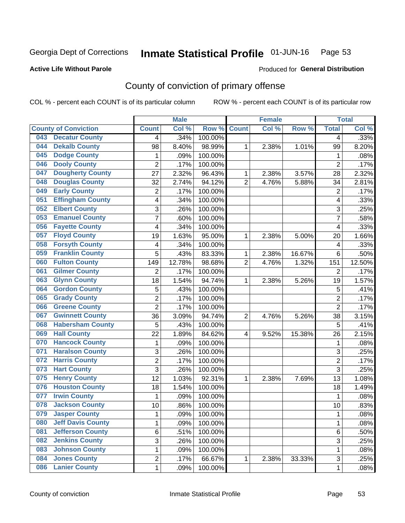#### Inmate Statistical Profile 01-JUN-16 Page 53

### **Active Life Without Parole**

### Produced for General Distribution

## County of conviction of primary offense

COL % - percent each COUNT is of its particular column

|     |                             |                         | <b>Male</b> |         |                | <b>Female</b> |        |                | <b>Total</b> |
|-----|-----------------------------|-------------------------|-------------|---------|----------------|---------------|--------|----------------|--------------|
|     | <b>County of Conviction</b> | <b>Count</b>            | Col %       | Row %   | <b>Count</b>   | Col %         | Row %  | <b>Total</b>   | Col %        |
| 043 | <b>Decatur County</b>       | 4                       | .34%        | 100.00% |                |               |        | 4              | .33%         |
| 044 | <b>Dekalb County</b>        | 98                      | 8.40%       | 98.99%  | 1              | 2.38%         | 1.01%  | 99             | 8.20%        |
| 045 | <b>Dodge County</b>         | 1                       | .09%        | 100.00% |                |               |        | 1              | .08%         |
| 046 | <b>Dooly County</b>         | $\overline{2}$          | .17%        | 100.00% |                |               |        | $\overline{2}$ | .17%         |
| 047 | <b>Dougherty County</b>     | 27                      | 2.32%       | 96.43%  | 1              | 2.38%         | 3.57%  | 28             | 2.32%        |
| 048 | <b>Douglas County</b>       | 32                      | 2.74%       | 94.12%  | $\overline{2}$ | 4.76%         | 5.88%  | 34             | 2.81%        |
| 049 | <b>Early County</b>         | $\overline{2}$          | .17%        | 100.00% |                |               |        | $\overline{2}$ | .17%         |
| 051 | <b>Effingham County</b>     | 4                       | .34%        | 100.00% |                |               |        | 4              | .33%         |
| 052 | <b>Elbert County</b>        | 3                       | .26%        | 100.00% |                |               |        | 3              | .25%         |
| 053 | <b>Emanuel County</b>       | $\overline{7}$          | .60%        | 100.00% |                |               |        | $\overline{7}$ | .58%         |
| 056 | <b>Fayette County</b>       | 4                       | .34%        | 100.00% |                |               |        | 4              | .33%         |
| 057 | <b>Floyd County</b>         | 19                      | 1.63%       | 95.00%  | 1              | 2.38%         | 5.00%  | 20             | 1.66%        |
| 058 | <b>Forsyth County</b>       | $\overline{\mathbf{4}}$ | .34%        | 100.00% |                |               |        | 4              | .33%         |
| 059 | <b>Franklin County</b>      | 5                       | .43%        | 83.33%  | 1              | 2.38%         | 16.67% | 6              | .50%         |
| 060 | <b>Fulton County</b>        | 149                     | 12.78%      | 98.68%  | $\overline{2}$ | 4.76%         | 1.32%  | 151            | 12.50%       |
| 061 | <b>Gilmer County</b>        | $\overline{2}$          | .17%        | 100.00% |                |               |        | 2              | .17%         |
| 063 | <b>Glynn County</b>         | 18                      | 1.54%       | 94.74%  | 1              | 2.38%         | 5.26%  | 19             | 1.57%        |
| 064 | <b>Gordon County</b>        | 5                       | .43%        | 100.00% |                |               |        | 5              | .41%         |
| 065 | <b>Grady County</b>         | $\overline{2}$          | .17%        | 100.00% |                |               |        | $\overline{2}$ | .17%         |
| 066 | <b>Greene County</b>        | $\overline{2}$          | .17%        | 100.00% |                |               |        | $\overline{2}$ | .17%         |
| 067 | <b>Gwinnett County</b>      | 36                      | 3.09%       | 94.74%  | $\overline{2}$ | 4.76%         | 5.26%  | 38             | 3.15%        |
| 068 | <b>Habersham County</b>     | $\overline{5}$          | .43%        | 100.00% |                |               |        | 5              | .41%         |
| 069 | <b>Hall County</b>          | 22                      | 1.89%       | 84.62%  | 4              | 9.52%         | 15.38% | 26             | 2.15%        |
| 070 | <b>Hancock County</b>       | 1                       | .09%        | 100.00% |                |               |        | 1              | .08%         |
| 071 | <b>Haralson County</b>      | 3                       | .26%        | 100.00% |                |               |        | 3              | .25%         |
| 072 | <b>Harris County</b>        | $\overline{2}$          | .17%        | 100.00% |                |               |        | $\overline{2}$ | .17%         |
| 073 | <b>Hart County</b>          | $\overline{3}$          | .26%        | 100.00% |                |               |        | $\overline{3}$ | .25%         |
| 075 | <b>Henry County</b>         | 12                      | 1.03%       | 92.31%  | 1              | 2.38%         | 7.69%  | 13             | 1.08%        |
| 076 | <b>Houston County</b>       | 18                      | 1.54%       | 100.00% |                |               |        | 18             | 1.49%        |
| 077 | <b>Irwin County</b>         | 1                       | .09%        | 100.00% |                |               |        | 1              | .08%         |
| 078 | <b>Jackson County</b>       | 10                      | .86%        | 100.00% |                |               |        | 10             | .83%         |
| 079 | <b>Jasper County</b>        | 1                       | .09%        | 100.00% |                |               |        | 1              | .08%         |
| 080 | <b>Jeff Davis County</b>    | 1                       | .09%        | 100.00% |                |               |        | $\mathbf{1}$   | .08%         |
| 081 | <b>Jefferson County</b>     | 6                       | .51%        | 100.00% |                |               |        | 6              | .50%         |
| 082 | <b>Jenkins County</b>       | 3                       | .26%        | 100.00% |                |               |        | 3              | .25%         |
| 083 | <b>Johnson County</b>       | 1                       | .09%        | 100.00% |                |               |        | 1              | .08%         |
| 084 | <b>Jones County</b>         | $\overline{c}$          | .17%        | 66.67%  | 1              | 2.38%         | 33.33% | 3              | .25%         |
| 086 | <b>Lanier County</b>        | $\mathbf 1$             | .09%        | 100.00% |                |               |        | 1              | .08%         |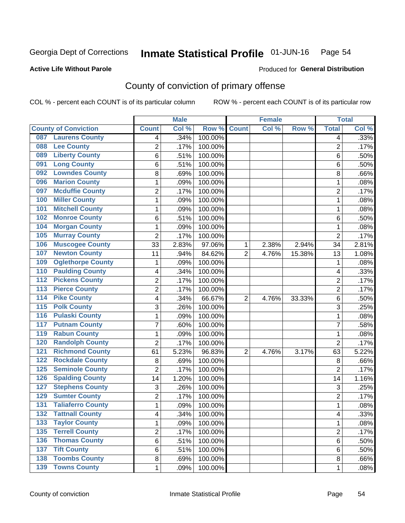#### Inmate Statistical Profile 01-JUN-16 Page 54

### **Active Life Without Parole**

### Produced for General Distribution

## County of conviction of primary offense

COL % - percent each COUNT is of its particular column

|                                           |                | <b>Male</b> |         |                | <b>Female</b> |        |                | <b>Total</b> |
|-------------------------------------------|----------------|-------------|---------|----------------|---------------|--------|----------------|--------------|
| <b>County of Conviction</b>               | <b>Count</b>   | Col %       | Row %   | <b>Count</b>   | Col %         | Row %  | <b>Total</b>   | Col %        |
| <b>Laurens County</b><br>087              | 4              | .34%        | 100.00% |                |               |        | 4              | .33%         |
| <b>Lee County</b><br>088                  | 2              | .17%        | 100.00% |                |               |        | $\overline{2}$ | .17%         |
| <b>Liberty County</b><br>089              | 6              | .51%        | 100.00% |                |               |        | 6              | .50%         |
| <b>Long County</b><br>091                 | 6              | .51%        | 100.00% |                |               |        | 6              | .50%         |
| <b>Lowndes County</b><br>092              | 8              | .69%        | 100.00% |                |               |        | 8              | .66%         |
| <b>Marion County</b><br>096               | 1              | .09%        | 100.00% |                |               |        | $\mathbf{1}$   | .08%         |
| <b>Mcduffie County</b><br>097             | $\overline{c}$ | .17%        | 100.00% |                |               |        | $\overline{2}$ | .17%         |
| <b>Miller County</b><br>100               | 1              | .09%        | 100.00% |                |               |        | $\mathbf{1}$   | .08%         |
| <b>Mitchell County</b><br>101             | 1              | .09%        | 100.00% |                |               |        | 1              | .08%         |
| <b>Monroe County</b><br>102               | 6              | .51%        | 100.00% |                |               |        | 6              | .50%         |
| <b>Morgan County</b><br>104               | 1              | .09%        | 100.00% |                |               |        | 1              | .08%         |
| <b>Murray County</b><br>105               | $\overline{2}$ | .17%        | 100.00% |                |               |        | $\overline{2}$ | .17%         |
| <b>Muscogee County</b><br>106             | 33             | 2.83%       | 97.06%  | 1              | 2.38%         | 2.94%  | 34             | 2.81%        |
| <b>Newton County</b><br>107               | 11             | .94%        | 84.62%  | $\overline{2}$ | 4.76%         | 15.38% | 13             | 1.08%        |
| <b>Oglethorpe County</b><br>109           | 1              | .09%        | 100.00% |                |               |        | 1              | .08%         |
| <b>Paulding County</b><br>110             | 4              | .34%        | 100.00% |                |               |        | 4              | .33%         |
| <b>Pickens County</b><br>$\overline{112}$ | 2              | .17%        | 100.00% |                |               |        | $\overline{2}$ | .17%         |
| <b>Pierce County</b><br>$\overline{113}$  | 2              | .17%        | 100.00% |                |               |        | $\overline{2}$ | .17%         |
| <b>Pike County</b><br>$\overline{114}$    | 4              | .34%        | 66.67%  | $\overline{2}$ | 4.76%         | 33.33% | 6              | .50%         |
| <b>Polk County</b><br>$\overline{115}$    | 3              | .26%        | 100.00% |                |               |        | 3              | .25%         |
| <b>Pulaski County</b><br>116              | 1              | .09%        | 100.00% |                |               |        | 1              | .08%         |
| <b>Putnam County</b><br>117               | 7              | .60%        | 100.00% |                |               |        | 7              | .58%         |
| <b>Rabun County</b><br>119                | 1              | .09%        | 100.00% |                |               |        | $\mathbf{1}$   | .08%         |
| <b>Randolph County</b><br>120             | $\overline{2}$ | .17%        | 100.00% |                |               |        | $\overline{2}$ | .17%         |
| <b>Richmond County</b><br>121             | 61             | 5.23%       | 96.83%  | $\overline{2}$ | 4.76%         | 3.17%  | 63             | 5.22%        |
| <b>Rockdale County</b><br>122             | 8              | .69%        | 100.00% |                |               |        | 8              | .66%         |
| <b>Seminole County</b><br>125             | $\overline{2}$ | .17%        | 100.00% |                |               |        | $\overline{2}$ | .17%         |
| <b>Spalding County</b><br>126             | 14             | 1.20%       | 100.00% |                |               |        | 14             | 1.16%        |
| <b>Stephens County</b><br>127             | 3              | .26%        | 100.00% |                |               |        | 3              | .25%         |
| <b>Sumter County</b><br>129               | 2              | .17%        | 100.00% |                |               |        | $\overline{2}$ | .17%         |
| <b>Taliaferro County</b><br>131           | 1              | .09%        | 100.00% |                |               |        | $\mathbf{1}$   | .08%         |
| <b>Tattnall County</b><br>132             | 4              | .34%        | 100.00% |                |               |        | 4              | .33%         |
| <b>Taylor County</b><br>133               | 1              | .09%        | 100.00% |                |               |        | $\mathbf{1}$   | .08%         |
| <b>Terrell County</b><br>135              | $\overline{2}$ | .17%        | 100.00% |                |               |        | $\overline{2}$ | .17%         |
| <b>Thomas County</b><br>136               | 6              | .51%        | 100.00% |                |               |        | 6              | .50%         |
| <b>Tift County</b><br>137                 | 6              | .51%        | 100.00% |                |               |        | 6              | .50%         |
| <b>Toombs County</b><br>138               | 8              | .69%        | 100.00% |                |               |        | 8              | .66%         |
| 139 Towns County                          | $\mathbf{1}$   | .09%        | 100.00% |                |               |        | $\mathbf{1}$   | .08%         |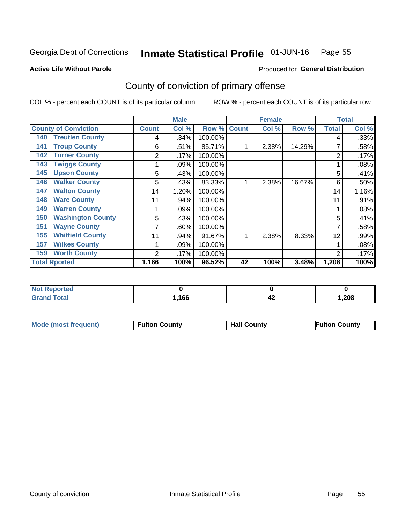#### Inmate Statistical Profile 01-JUN-16 Page 55

**Active Life Without Parole** 

Produced for General Distribution

## County of conviction of primary offense

COL % - percent each COUNT is of its particular column

|                      |                             |              | <b>Male</b> |             |    | <b>Female</b> |        |                | <b>Total</b> |
|----------------------|-----------------------------|--------------|-------------|-------------|----|---------------|--------|----------------|--------------|
|                      | <b>County of Conviction</b> | <b>Count</b> | Col %       | Row % Count |    | Col %         | Row %  | <b>Total</b>   | Col %        |
| 140                  | <b>Treutlen County</b>      | 4            | .34%        | 100.00%     |    |               |        | 4              | .33%         |
| 141                  | <b>Troup County</b>         | 6            | .51%        | 85.71%      |    | 2.38%         | 14.29% |                | .58%         |
| 142                  | <b>Turner County</b>        | 2            | .17%        | 100.00%     |    |               |        | 2              | .17%         |
| 143                  | <b>Twiggs County</b>        |              | .09%        | 100.00%     |    |               |        |                | .08%         |
| 145                  | <b>Upson County</b>         | 5            | .43%        | 100.00%     |    |               |        | 5              | .41%         |
| 146                  | <b>Walker County</b>        | 5            | .43%        | 83.33%      |    | 2.38%         | 16.67% | 6              | .50%         |
| 147                  | <b>Walton County</b>        | 14           | 1.20%       | 100.00%     |    |               |        | 14             | 1.16%        |
| 148                  | <b>Ware County</b>          | 11           | .94%        | 100.00%     |    |               |        | 11             | .91%         |
| 149                  | <b>Warren County</b>        |              | .09%        | 100.00%     |    |               |        |                | .08%         |
| 150                  | <b>Washington County</b>    | 5            | .43%        | 100.00%     |    |               |        | 5              | .41%         |
| 151                  | <b>Wayne County</b>         |              | $.60\%$     | 100.00%     |    |               |        | 7              | .58%         |
| 155                  | <b>Whitfield County</b>     | 11           | .94%        | 91.67%      |    | 2.38%         | 8.33%  | 12             | .99%         |
| 157                  | <b>Wilkes County</b>        |              | .09%        | 100.00%     |    |               |        |                | .08%         |
| 159                  | <b>Worth County</b>         | 2            | .17%        | 100.00%     |    |               |        | $\overline{2}$ | .17%         |
| <b>Total Rported</b> |                             | 1,166        | 100%        | 96.52%      | 42 | 100%          | 3.48%  | 1,208          | 100%         |

| <b>ported</b><br>NI 6 |      |    |       |
|-----------------------|------|----|-------|
| <b>otal</b>           | ,166 | 44 | 1,208 |

| <b>Mode (most frequent)</b> | <b>Fulton County</b> | <b>Hall County</b> | <b>Fulton County</b> |
|-----------------------------|----------------------|--------------------|----------------------|
|                             |                      |                    |                      |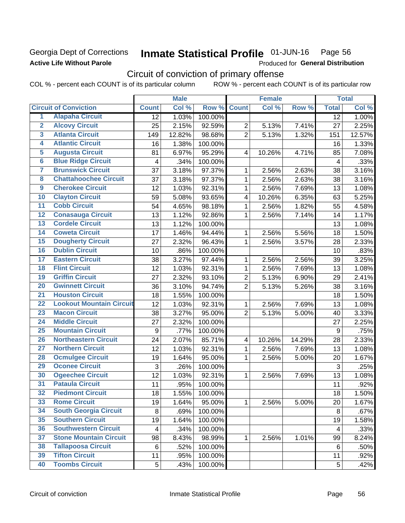## Georgia Dept of Corrections **Active Life Without Parole**

#### Inmate Statistical Profile 01-JUN-16 Page 56

Produced for General Distribution

## Circuit of conviction of primary offense

COL % - percent each COUNT is of its particular column ROW % - percent each COUNT is of its particular row

|                         |                                 | <b>Male</b>             |        | <b>Female</b> |                         |        | <b>Total</b> |              |        |
|-------------------------|---------------------------------|-------------------------|--------|---------------|-------------------------|--------|--------------|--------------|--------|
|                         | <b>Circuit of Conviction</b>    | <b>Count</b>            | Col %  | Row %         | <b>Count</b>            | Col %  | Row %        | <b>Total</b> | Col %  |
| 1                       | <b>Alapaha Circuit</b>          | $\overline{12}$         | 1.03%  | 100.00%       |                         |        |              | 12           | 1.00%  |
| $\overline{2}$          | <b>Alcovy Circuit</b>           | 25                      | 2.15%  | 92.59%        | $\overline{2}$          | 5.13%  | 7.41%        | 27           | 2.25%  |
| $\overline{\mathbf{3}}$ | <b>Atlanta Circuit</b>          | 149                     | 12.82% | 98.68%        | $\overline{2}$          | 5.13%  | 1.32%        | 151          | 12.57% |
| 4                       | <b>Atlantic Circuit</b>         | 16                      | 1.38%  | 100.00%       |                         |        |              | 16           | 1.33%  |
| 5                       | <b>Augusta Circuit</b>          | 81                      | 6.97%  | 95.29%        | $\overline{4}$          | 10.26% | 4.71%        | 85           | 7.08%  |
| $\overline{\bf{6}}$     | <b>Blue Ridge Circuit</b>       | 4                       | .34%   | 100.00%       |                         |        |              | 4            | .33%   |
| 7                       | <b>Brunswick Circuit</b>        | 37                      | 3.18%  | 97.37%        | 1                       | 2.56%  | 2.63%        | 38           | 3.16%  |
| $\overline{\mathbf{8}}$ | <b>Chattahoochee Circuit</b>    | 37                      | 3.18%  | 97.37%        | 1                       | 2.56%  | 2.63%        | 38           | 3.16%  |
| $\overline{9}$          | <b>Cherokee Circuit</b>         | 12                      | 1.03%  | 92.31%        | 1                       | 2.56%  | 7.69%        | 13           | 1.08%  |
| 10                      | <b>Clayton Circuit</b>          | 59                      | 5.08%  | 93.65%        | 4                       | 10.26% | 6.35%        | 63           | 5.25%  |
| $\overline{11}$         | <b>Cobb Circuit</b>             | 54                      | 4.65%  | 98.18%        | $\mathbf{1}$            | 2.56%  | 1.82%        | 55           | 4.58%  |
| $\overline{12}$         | <b>Conasauga Circuit</b>        | 13                      | 1.12%  | 92.86%        | 1                       | 2.56%  | 7.14%        | 14           | 1.17%  |
| 13                      | <b>Cordele Circuit</b>          | 13                      | 1.12%  | 100.00%       |                         |        |              | 13           | 1.08%  |
| 14                      | <b>Coweta Circuit</b>           | 17                      | 1.46%  | 94.44%        | 1                       | 2.56%  | 5.56%        | 18           | 1.50%  |
| $\overline{15}$         | <b>Dougherty Circuit</b>        | 27                      | 2.32%  | 96.43%        | 1                       | 2.56%  | 3.57%        | 28           | 2.33%  |
| 16                      | <b>Dublin Circuit</b>           | 10                      | .86%   | 100.00%       |                         |        |              | 10           | .83%   |
| 17                      | <b>Eastern Circuit</b>          | 38                      | 3.27%  | 97.44%        | 1                       | 2.56%  | 2.56%        | 39           | 3.25%  |
| $\overline{18}$         | <b>Flint Circuit</b>            | 12                      | 1.03%  | 92.31%        | 1                       | 2.56%  | 7.69%        | 13           | 1.08%  |
| 19                      | <b>Griffin Circuit</b>          | 27                      | 2.32%  | 93.10%        | $\overline{2}$          | 5.13%  | 6.90%        | 29           | 2.41%  |
| $\overline{20}$         | <b>Gwinnett Circuit</b>         | 36                      | 3.10%  | 94.74%        | $\overline{2}$          | 5.13%  | 5.26%        | 38           | 3.16%  |
| $\overline{21}$         | <b>Houston Circuit</b>          | 18                      | 1.55%  | 100.00%       |                         |        |              | 18           | 1.50%  |
| $\overline{22}$         | <b>Lookout Mountain Circuit</b> | 12                      | 1.03%  | 92.31%        | 1                       | 2.56%  | 7.69%        | 13           | 1.08%  |
| 23                      | <b>Macon Circuit</b>            | 38                      | 3.27%  | 95.00%        | $\overline{2}$          | 5.13%  | 5.00%        | 40           | 3.33%  |
| $\overline{24}$         | <b>Middle Circuit</b>           | 27                      | 2.32%  | 100.00%       |                         |        |              | 27           | 2.25%  |
| $\overline{25}$         | <b>Mountain Circuit</b>         | 9                       | .77%   | 100.00%       |                         |        |              | 9            | .75%   |
| 26                      | <b>Northeastern Circuit</b>     | 24                      | 2.07%  | 85.71%        | $\overline{\mathbf{4}}$ | 10.26% | 14.29%       | 28           | 2.33%  |
| $\overline{27}$         | <b>Northern Circuit</b>         | 12                      | 1.03%  | 92.31%        | 1                       | 2.56%  | 7.69%        | 13           | 1.08%  |
| 28                      | <b>Ocmulgee Circuit</b>         | 19                      | 1.64%  | 95.00%        | 1                       | 2.56%  | 5.00%        | 20           | 1.67%  |
| 29                      | <b>Oconee Circuit</b>           | 3                       | .26%   | 100.00%       |                         |        |              | 3            | .25%   |
| 30                      | <b>Ogeechee Circuit</b>         | 12                      | 1.03%  | 92.31%        | 1                       | 2.56%  | 7.69%        | 13           | 1.08%  |
| $\overline{31}$         | <b>Pataula Circuit</b>          | 11                      | .95%   | 100.00%       |                         |        |              | 11           | .92%   |
| 32                      | <b>Piedmont Circuit</b>         | 18                      | 1.55%  | 100.00%       |                         |        |              | 18           | 1.50%  |
| 33                      | <b>Rome Circuit</b>             | 19                      | 1.64%  | 95.00%        | $\mathbf{1}$            | 2.56%  | 5.00%        | 20           | 1.67%  |
| 34                      | <b>South Georgia Circuit</b>    | 8                       | .69%   | 100.00%       |                         |        |              | 8            | .67%   |
| 35                      | <b>Southern Circuit</b>         | 19                      | 1.64%  | 100.00%       |                         |        |              | 19           | 1.58%  |
| 36                      | <b>Southwestern Circuit</b>     | $\overline{\mathbf{4}}$ | .34%   | 100.00%       |                         |        |              | 4            | .33%   |
| 37                      | <b>Stone Mountain Circuit</b>   | 98                      | 8.43%  | 98.99%        | 1                       | 2.56%  | 1.01%        | 99           | 8.24%  |
| 38                      | <b>Tallapoosa Circuit</b>       | 6                       | .52%   | 100.00%       |                         |        |              | 6            | .50%   |
| 39                      | <b>Tifton Circuit</b>           | 11                      | .95%   | 100.00%       |                         |        |              | 11           | .92%   |
| 40                      | <b>Toombs Circuit</b>           | 5                       | .43%   | 100.00%       |                         |        |              | 5            | .42%   |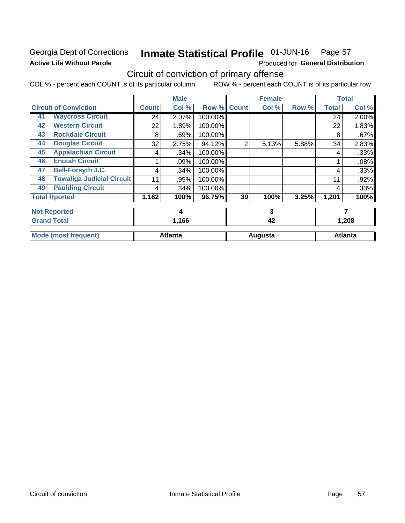## Georgia Dept of Corrections **Active Life Without Parole**

#### Inmate Statistical Profile 01-JUN-16 Page 57

Produced for General Distribution

## Circuit of conviction of primary offense

COL % - percent each COUNT is of its particular column ROW % - percent each COUNT is of its particular row

|    |                                  |              | <b>Male</b>    |         |                | <b>Female</b> |       |              | <b>Total</b>   |
|----|----------------------------------|--------------|----------------|---------|----------------|---------------|-------|--------------|----------------|
|    | <b>Circuit of Conviction</b>     | <b>Count</b> | Col %          | Row %   | <b>Count</b>   | Col %         | Row % | <b>Total</b> | Col %          |
| 41 | <b>Waycross Circuit</b>          | 24           | 2.07%          | 100.00% |                |               |       | 24           | 2.00%          |
| 42 | <b>Western Circuit</b>           | 22           | 1.89%          | 100.00% |                |               |       | 22           | 1.83%          |
| 43 | <b>Rockdale Circuit</b>          | 8            | .69%           | 100.00% |                |               |       | 8            | .67%           |
| 44 | <b>Douglas Circuit</b>           | 32           | 2.75%          | 94.12%  | $\overline{2}$ | 5.13%         | 5.88% | 34           | 2.83%          |
| 45 | <b>Appalachian Circuit</b>       | 4            | .34%           | 100.00% |                |               |       | 4            | .33%           |
| 46 | <b>Enotah Circuit</b>            |              | .09%           | 100.00% |                |               |       |              | .08%           |
| 47 | <b>Bell-Forsyth J.C.</b>         | 4            | .34%           | 100.00% |                |               |       | 4            | .33%           |
| 48 | <b>Towaliga Judicial Circuit</b> | 11           | .95%           | 100.00% |                |               |       | 11           | .92%           |
| 49 | <b>Paulding Circuit</b>          | 4            | .34%           | 100.00% |                |               |       | 4            | .33%           |
|    | <b>Total Rported</b>             | 1,162        | 100%           | 96.75%  | 39             | 100%          | 3.25% | 1,201        | 100%           |
|    | <b>Not Reported</b>              |              | 4              |         |                | 3             |       |              | 7              |
|    | <b>Grand Total</b>               |              | 1,166          |         |                | 42            |       | 1,208        |                |
|    | <b>Mode (most frequent)</b>      |              | <b>Atlanta</b> |         |                | Augusta       |       |              | <b>Atlanta</b> |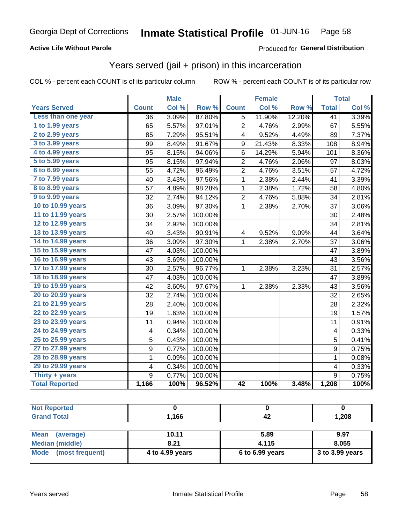## **Active Life Without Parole**

### Produced for General Distribution

## Years served (jail + prison) in this incarceration

COL % - percent each COUNT is of its particular column

|                       |              | <b>Male</b> |                  |                         | <b>Female</b> |        |                 | <b>Total</b> |
|-----------------------|--------------|-------------|------------------|-------------------------|---------------|--------|-----------------|--------------|
| <b>Years Served</b>   | <b>Count</b> | Col %       | Row <sup>%</sup> | <b>Count</b>            | Col %         | Row %  | <b>Total</b>    | Col %        |
| Less than one year    | 36           | 3.09%       | 87.80%           | 5                       | 11.90%        | 12.20% | $\overline{41}$ | 3.39%        |
| 1 to 1.99 years       | 65           | 5.57%       | 97.01%           | 2                       | 4.76%         | 2.99%  | 67              | 5.55%        |
| 2 to 2.99 years       | 85           | 7.29%       | 95.51%           | 4                       | 9.52%         | 4.49%  | 89              | 7.37%        |
| 3 to 3.99 years       | 99           | 8.49%       | 91.67%           | 9                       | 21.43%        | 8.33%  | 108             | 8.94%        |
| 4 to 4.99 years       | 95           | 8.15%       | 94.06%           | 6                       | 14.29%        | 5.94%  | 101             | 8.36%        |
| 5 to 5.99 years       | 95           | 8.15%       | 97.94%           | $\overline{2}$          | 4.76%         | 2.06%  | 97              | 8.03%        |
| 6 to 6.99 years       | 55           | 4.72%       | 96.49%           | $\overline{2}$          | 4.76%         | 3.51%  | 57              | 4.72%        |
| 7 to 7.99 years       | 40           | 3.43%       | 97.56%           | 1                       | 2.38%         | 2.44%  | 41              | 3.39%        |
| 8 to 8.99 years       | 57           | 4.89%       | 98.28%           | 1                       | 2.38%         | 1.72%  | 58              | 4.80%        |
| 9 to 9.99 years       | 32           | 2.74%       | 94.12%           | 2                       | 4.76%         | 5.88%  | 34              | 2.81%        |
| 10 to 10.99 years     | 36           | 3.09%       | 97.30%           | $\mathbf 1$             | 2.38%         | 2.70%  | 37              | 3.06%        |
| 11 to 11.99 years     | 30           | 2.57%       | 100.00%          |                         |               |        | 30              | 2.48%        |
| 12 to 12.99 years     | 34           | 2.92%       | 100.00%          |                         |               |        | 34              | 2.81%        |
| 13 to 13.99 years     | 40           | 3.43%       | 90.91%           | $\overline{\mathbf{4}}$ | 9.52%         | 9.09%  | 44              | 3.64%        |
| 14 to 14.99 years     | 36           | 3.09%       | 97.30%           | 1                       | 2.38%         | 2.70%  | 37              | 3.06%        |
| 15 to 15.99 years     | 47           | 4.03%       | 100.00%          |                         |               |        | 47              | 3.89%        |
| 16 to 16.99 years     | 43           | 3.69%       | 100.00%          |                         |               |        | 43              | 3.56%        |
| 17 to 17.99 years     | 30           | 2.57%       | 96.77%           | 1                       | 2.38%         | 3.23%  | 31              | 2.57%        |
| 18 to 18.99 years     | 47           | 4.03%       | 100.00%          |                         |               |        | 47              | 3.89%        |
| 19 to 19.99 years     | 42           | 3.60%       | 97.67%           | 1                       | 2.38%         | 2.33%  | 43              | 3.56%        |
| 20 to 20.99 years     | 32           | 2.74%       | 100.00%          |                         |               |        | 32              | 2.65%        |
| 21 to 21.99 years     | 28           | 2.40%       | 100.00%          |                         |               |        | 28              | 2.32%        |
| 22 to 22.99 years     | 19           | 1.63%       | 100.00%          |                         |               |        | 19              | 1.57%        |
| 23 to 23.99 years     | 11           | 0.94%       | 100.00%          |                         |               |        | 11              | 0.91%        |
| 24 to 24.99 years     | 4            | 0.34%       | 100.00%          |                         |               |        | 4               | 0.33%        |
| 25 to 25.99 years     | 5            | 0.43%       | 100.00%          |                         |               |        | 5               | 0.41%        |
| 27 to 27.99 years     | 9            | 0.77%       | 100.00%          |                         |               |        | 9               | 0.75%        |
| 28 to 28.99 years     | $\mathbf 1$  | 0.09%       | 100.00%          |                         |               |        | $\mathbf 1$     | 0.08%        |
| 29 to 29.99 years     | 4            | 0.34%       | 100.00%          |                         |               |        | 4               | 0.33%        |
| Thirty + years        | 9            | 0.77%       | 100.00%          |                         |               |        | 9               | 0.75%        |
| <b>Total Reported</b> | 1,166        | 100%        | 96.52%           | $\overline{42}$         | 100%          | 3.48%  | 1,208           | 100%         |

| <b>Not Reported</b>            |                 |                 |                 |  |  |
|--------------------------------|-----------------|-----------------|-----------------|--|--|
| <b>Grand Total</b>             | 1,166           | 42              | 1,208           |  |  |
|                                |                 |                 |                 |  |  |
| <b>Mean</b><br>(average)       | 10.11           | 5.89            | 9.97            |  |  |
| <b>Median (middle)</b>         | 8.21            | 4.115           | 8.055           |  |  |
| <b>Mode</b><br>(most frequent) | 4 to 4.99 years | 6 to 6.99 years | 3 to 3.99 years |  |  |
|                                |                 |                 |                 |  |  |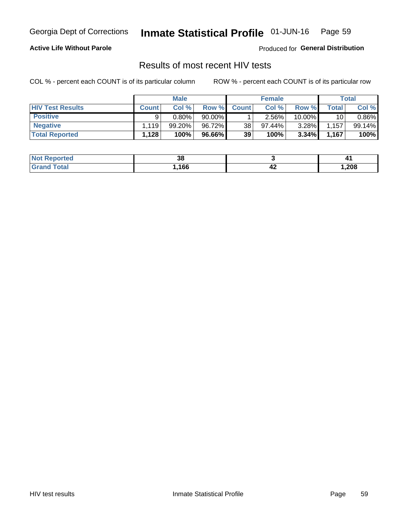#### Inmate Statistical Profile 01-JUN-16 Page 59

## **Active Life Without Parole**

Produced for General Distribution

## Results of most recent HIV tests

COL % - percent each COUNT is of its particular column

|                         | <b>Male</b>        |          |           | <b>Female</b> |           |          | Total       |          |
|-------------------------|--------------------|----------|-----------|---------------|-----------|----------|-------------|----------|
| <b>HIV Test Results</b> | <b>Count</b>       | Col%     | Row %I    | <b>Count</b>  | Col %     | Row %    | $\tau$ otal | Col %    |
| <b>Positive</b>         | Q                  | $0.80\%$ | $90.00\%$ |               | 2.56%     | 10.00%   | 10          | $0.86\%$ |
| <b>Negative</b>         | $.119$ $^{\prime}$ | 99.20%   | 96.72%    | 38            | $97.44\%$ | $3.28\%$ | 1,157       | 99.14%   |
| <b>Total Reported</b>   | ٰ 128.،            | 100%     | 96.66%    | 39            | 100%      | 3.34%    | 1,167       | 100%     |

| <b>Not Reported</b> | n c<br>აი |     |      |
|---------------------|-----------|-----|------|
| Total               | ,166      | - 2 | ,208 |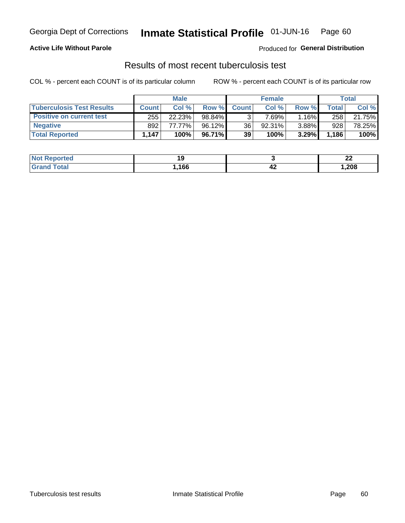## Georgia Dept of Corrections **Inmate Statistical Profile** 01-JUN-16 Page 60

## **Active Life Without Parole**

Produced for **General Distribution**

## Results of most recent tuberculosis test

COL % - percent each COUNT is of its particular column ROW % - percent each COUNT is of its particular row

|                                  | <b>Male</b>  |        |           | <b>Female</b> |          |          | Total        |        |
|----------------------------------|--------------|--------|-----------|---------------|----------|----------|--------------|--------|
| <b>Tuberculosis Test Results</b> | <b>Count</b> | Col%   | Row %I    | <b>Count</b>  | Col %    | Row %I   | <b>Total</b> | Col %  |
| <b>Positive on current test</b>  | 255          | 22.23% | 98.84%    |               | $7.69\%$ | 1.16%    | 258          | 21.75% |
| <b>Negative</b>                  | 892          | 77.77% | $96.12\%$ | 36            | 92.31%   | $3.88\%$ | 928          | 78.25% |
| <b>Total Reported</b>            | .147         | 100%   | 96.71% I  | 39            | 100%     | 3.29%    | 1,186        | 100%   |

| <b>Not Reported</b> |      |     | n,<br>---<br>__ |
|---------------------|------|-----|-----------------|
| Total               | ,166 | - 2 | ,208            |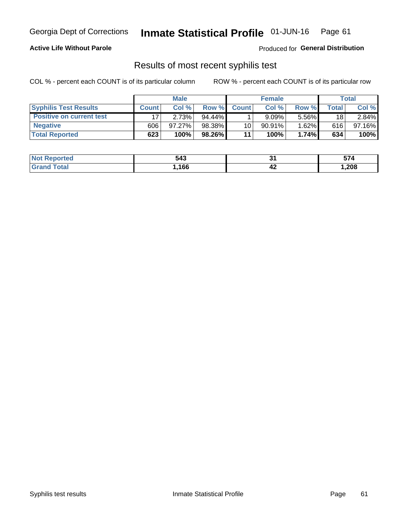## Georgia Dept of Corrections **Inmate Statistical Profile** 01-JUN-16 Page 61

### **Active Life Without Parole**

Produced for **General Distribution**

## Results of most recent syphilis test

COL % - percent each COUNT is of its particular column ROW % - percent each COUNT is of its particular row

|                                 | <b>Male</b>  |        |           | <b>Female</b>   |          |       | Total |        |
|---------------------------------|--------------|--------|-----------|-----------------|----------|-------|-------|--------|
| <b>Syphilis Test Results</b>    | <b>Count</b> | Col%   | Row %I    | <b>Count</b>    | Col%     | Row % | Total | Col %  |
| <b>Positive on current test</b> |              | 2.73%  | $94.44\%$ |                 | $9.09\%$ | 5.56% | 18    | 2.84%  |
| <b>Negative</b>                 | 606          | 97.27% | 98.38%    | 10 <sub>1</sub> | 90.91%   | 1.62% | 616   | 97.16% |
| <b>Total Reported</b>           | 623          | 100%   | 98.26%    | 11              | 100%     | 1.74% | 634   | 100%   |

| <b>Not Reported</b> | 543  | п.  | -- 4   |
|---------------------|------|-----|--------|
| <b>Total</b>        | ,166 | -4⊷ | 208, ا |